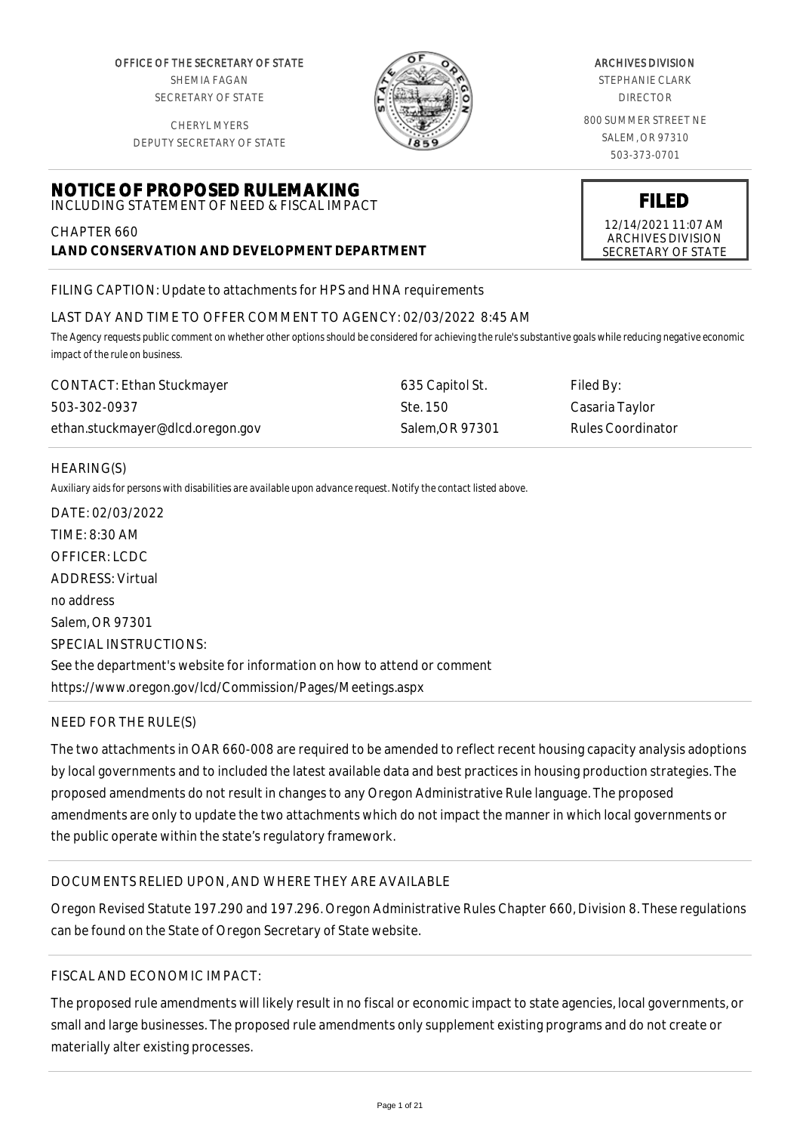OFFICE OF THE SECRETARY OF STATE SHEMIA FAGAN SECRETARY OF STATE

CHERYL MYERS DEPUTY SECRETARY OF STATE

**NOTICE OF PROPOSED RULEMAKING**



## ARCHIVES DIVISION

STEPHANIE CLARK DIRECTOR

800 SUMMER STREET NE SALEM, OR 97310 503-373-0701

**FILED**

12/14/2021 11:07 AM ARCHIVES DIVISION SECRETARY OF STATE

INCLUDING STATEMENT OF NEED & FISCAL IMPACT CHAPTER 660

**LAND CONSERVATION AND DEVELOPMENT DEPARTMENT**

FILING CAPTION: Update to attachments for HPS and HNA requirements

# LAST DAY AND TIME TO OFFER COMMENT TO AGENCY: 02/03/2022 8:45 AM

*The Agency requests public comment on whether other options should be considered for achieving the rule's substantive goals while reducing negative economic impact of the rule on business.*

| <b>CONTACT: Ethan Stuckmayer</b> | 635 Capitol St. | Filed By:                |
|----------------------------------|-----------------|--------------------------|
| 503-302-0937                     | Ste. 150        | Casaria Taylor           |
| ethan.stuckmayer@dlcd.oregon.gov | Salem.OR 97301  | <b>Rules Coordinator</b> |

# HEARING(S)

*Auxiliary aids for persons with disabilities are available upon advance request. Notify the contact listed above.*

DATE: 02/03/2022 TIME: 8:30 AM OFFICER: LCDC ADDRESS: Virtual no address Salem, OR 97301 SPECIAL INSTRUCTIONS: See the department's website for information on how to attend or comment https://www.oregon.gov/lcd/Commission/Pages/Meetings.aspx

# NEED FOR THE RULE(S)

The two attachments in OAR 660-008 are required to be amended to reflect recent housing capacity analysis adoptions by local governments and to included the latest available data and best practices in housing production strategies. The proposed amendments do not result in changes to any Oregon Administrative Rule language. The proposed amendments are only to update the two attachments which do not impact the manner in which local governments or the public operate within the state's regulatory framework.

# DOCUMENTS RELIED UPON, AND WHERE THEY ARE AVAILABLE

Oregon Revised Statute 197.290 and 197.296. Oregon Administrative Rules Chapter 660, Division 8. These regulations can be found on the State of Oregon Secretary of State website.

# FISCAL AND ECONOMIC IMPACT:

The proposed rule amendments will likely result in no fiscal or economic impact to state agencies, local governments, or small and large businesses. The proposed rule amendments only supplement existing programs and do not create or materially alter existing processes.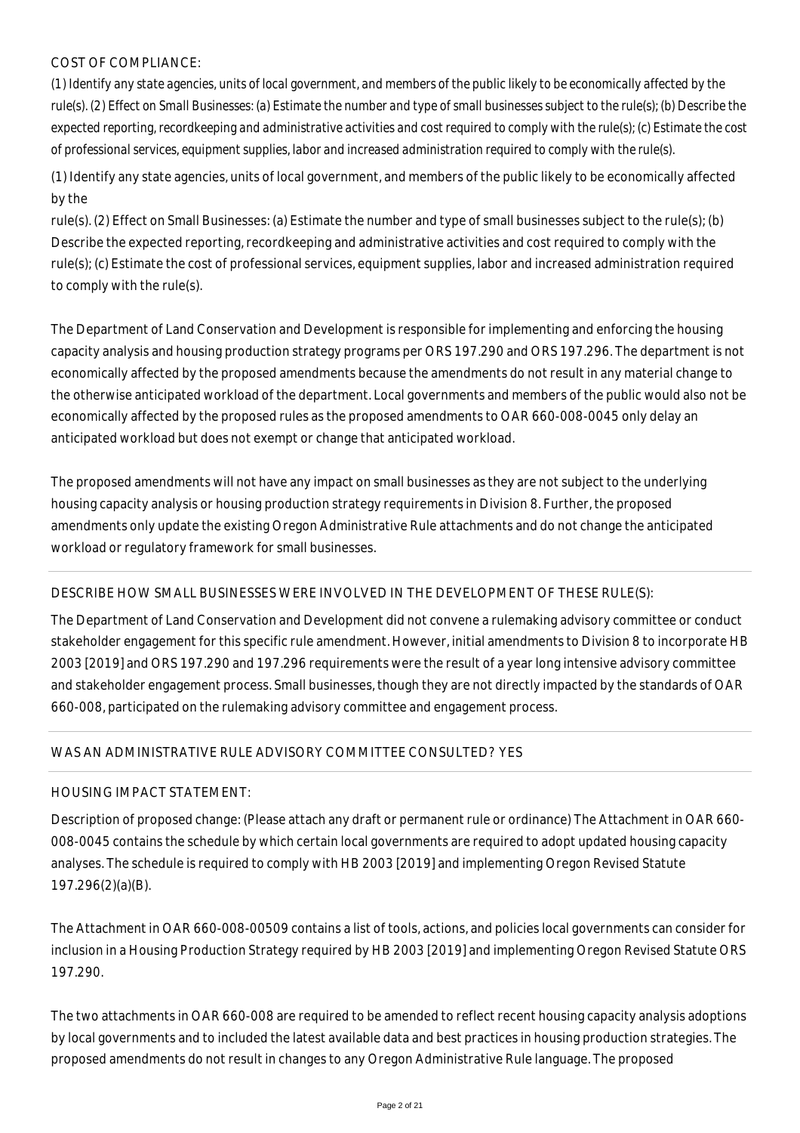# COST OF COMPLIANCE:

*(1) Identify any state agencies, units of local government, and members of the public likely to be economically affected by the rule(s). (2) Effect on Small Businesses: (a) Estimate the number and type of small businesses subject to the rule(s); (b) Describe the expected reporting, recordkeeping and administrative activities and cost required to comply with the rule(s); (c) Estimate the cost of professional services, equipment supplies, labor and increased administration required to comply with the rule(s).*

(1) Identify any state agencies, units of local government, and members of the public likely to be economically affected by the

rule(s). (2) Effect on Small Businesses: (a) Estimate the number and type of small businesses subject to the rule(s); (b) Describe the expected reporting, recordkeeping and administrative activities and cost required to comply with the rule(s); (c) Estimate the cost of professional services, equipment supplies, labor and increased administration required to comply with the rule(s).

The Department of Land Conservation and Development is responsible for implementing and enforcing the housing capacity analysis and housing production strategy programs per ORS 197.290 and ORS 197.296. The department is not economically affected by the proposed amendments because the amendments do not result in any material change to the otherwise anticipated workload of the department. Local governments and members of the public would also not be economically affected by the proposed rules as the proposed amendments to OAR 660-008-0045 only delay an anticipated workload but does not exempt or change that anticipated workload.

The proposed amendments will not have any impact on small businesses as they are not subject to the underlying housing capacity analysis or housing production strategy requirements in Division 8. Further, the proposed amendments only update the existing Oregon Administrative Rule attachments and do not change the anticipated workload or regulatory framework for small businesses.

# DESCRIBE HOW SMALL BUSINESSES WERE INVOLVED IN THE DEVELOPMENT OF THESE RULE(S):

The Department of Land Conservation and Development did not convene a rulemaking advisory committee or conduct stakeholder engagement for this specific rule amendment. However, initial amendments to Division 8 to incorporate HB 2003 [2019] and ORS 197.290 and 197.296 requirements were the result of a year long intensive advisory committee and stakeholder engagement process. Small businesses, though they are not directly impacted by the standards of OAR 660-008, participated on the rulemaking advisory committee and engagement process.

# WAS AN ADMINISTRATIVE RULE ADVISORY COMMITTEE CONSULTED? YES

# HOUSING IMPACT STATEMENT:

Description of proposed change: (Please attach any draft or permanent rule or ordinance) The Attachment in OAR 660- 008-0045 contains the schedule by which certain local governments are required to adopt updated housing capacity analyses. The schedule is required to comply with HB 2003 [2019] and implementing Oregon Revised Statute 197.296(2)(a)(B).

The Attachment in OAR 660-008-00509 contains a list of tools, actions, and policies local governments can consider for inclusion in a Housing Production Strategy required by HB 2003 [2019] and implementing Oregon Revised Statute ORS 197.290.

The two attachments in OAR 660-008 are required to be amended to reflect recent housing capacity analysis adoptions by local governments and to included the latest available data and best practices in housing production strategies. The proposed amendments do not result in changes to any Oregon Administrative Rule language. The proposed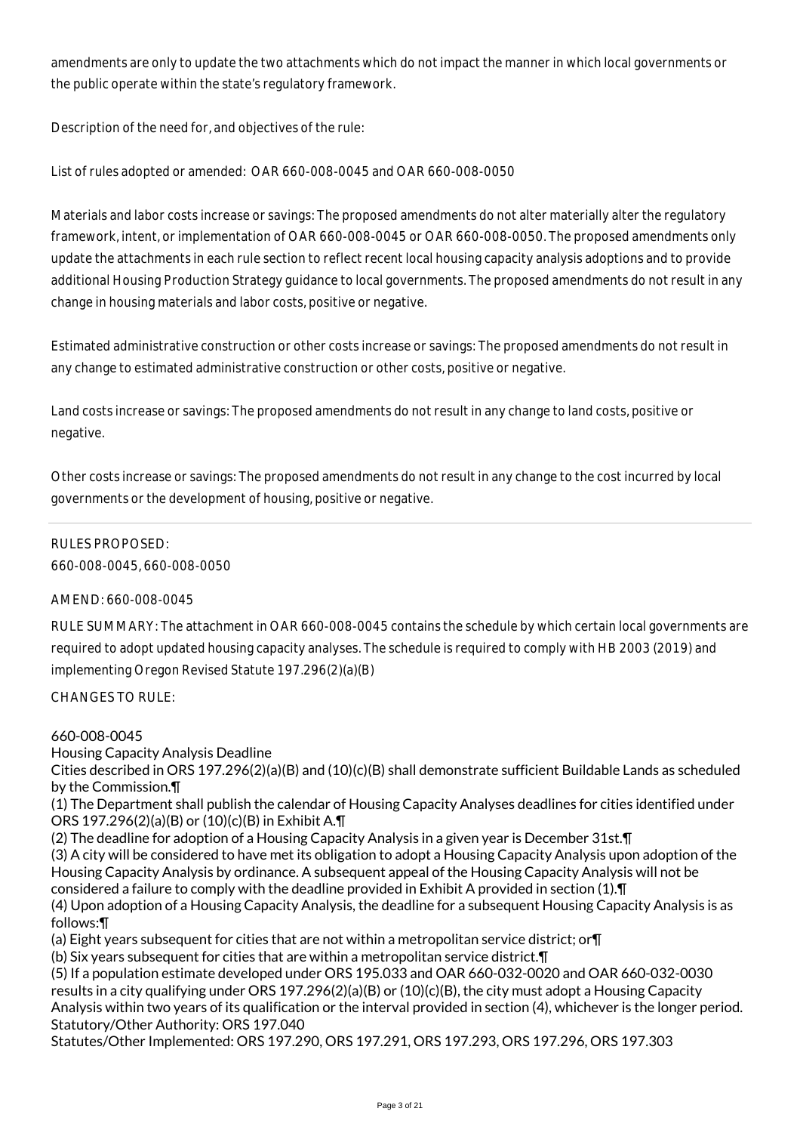amendments are only to update the two attachments which do not impact the manner in which local governments or the public operate within the state's regulatory framework.

Description of the need for, and objectives of the rule:

List of rules adopted or amended: OAR 660-008-0045 and OAR 660-008-0050

Materials and labor costs increase or savings: The proposed amendments do not alter materially alter the regulatory framework, intent, or implementation of OAR 660-008-0045 or OAR 660-008-0050. The proposed amendments only update the attachments in each rule section to reflect recent local housing capacity analysis adoptions and to provide additional Housing Production Strategy guidance to local governments. The proposed amendments do not result in any change in housing materials and labor costs, positive or negative.

Estimated administrative construction or other costs increase or savings: The proposed amendments do not result in any change to estimated administrative construction or other costs, positive or negative.

Land costs increase or savings: The proposed amendments do not result in any change to land costs, positive or negative.

Other costs increase or savings: The proposed amendments do not result in any change to the cost incurred by local governments or the development of housing, positive or negative.

# RULES PROPOSED:

660-008-0045, 660-008-0050

# AMEND: 660-008-0045

RULE SUMMARY: The attachment in OAR 660-008-0045 contains the schedule by which certain local governments are required to adopt updated housing capacity analyses. The schedule is required to comply with HB 2003 (2019) and implementing Oregon Revised Statute 197.296(2)(a)(B)

## CHANGES TO RULE:

## 660-008-0045

Housing Capacity Analysis Deadline

Cities described in ORS 197.296(2)(a)(B) and (10)(c)(B) shall demonstrate sufficient Buildable Lands as scheduled by the Commission.¶

(1) The Department shall publish the calendar of Housing Capacity Analyses deadlines for cities identified under ORS 197.296(2)(a)(B) or (10)(c)(B) in Exhibit A.¶

(2) The deadline for adoption of a Housing Capacity Analysis in a given year is December 31st.¶

(3) A city will be considered to have met its obligation to adopt a Housing Capacity Analysis upon adoption of the Housing Capacity Analysis by ordinance. A subsequent appeal of the Housing Capacity Analysis will not be considered a failure to comply with the deadline provided in Exhibit A provided in section (1).¶

(4) Upon adoption of a Housing Capacity Analysis, the deadline for a subsequent Housing Capacity Analysis is as follows:¶

(a) Eight years subsequent for cities that are not within a metropolitan service district; or¶

(b) Six years subsequent for cities that are within a metropolitan service district.¶

(5) If a population estimate developed under ORS 195.033 and OAR 660-032-0020 and OAR 660-032-0030 results in a city qualifying under ORS 197.296(2)(a)(B) or (10)(c)(B), the city must adopt a Housing Capacity Analysis within two years of its qualification or the interval provided in section (4), whichever is the longer period. Statutory/Other Authority: ORS 197.040

Statutes/Other Implemented: ORS 197.290, ORS 197.291, ORS 197.293, ORS 197.296, ORS 197.303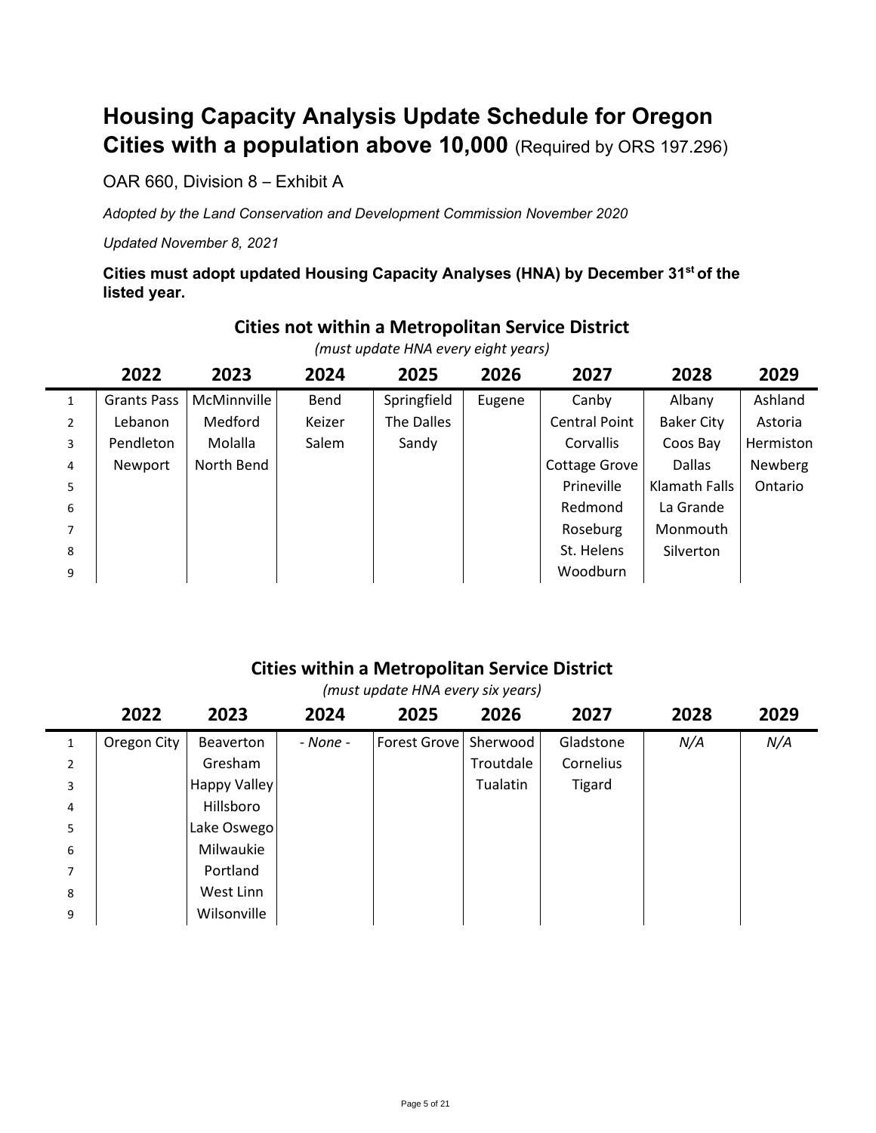# **Housing Capacity Analysis Update Schedule for Oregon Cities with a population above 10,000** (Required by ORS 197.296)

OAR 660, Division 8 – Exhibit A

*Adopted by the Land Conservation and Development Commission November 2020*

*Updated November 8, 2021*

**Cities must adopt updated Housing Capacity Analyses (HNA) by December 31st of the listed year.**

|                | (must update HNA every eight years) |             |        |             |        |                      |                   |           |  |  |  |
|----------------|-------------------------------------|-------------|--------|-------------|--------|----------------------|-------------------|-----------|--|--|--|
|                | 2028                                | 2029        |        |             |        |                      |                   |           |  |  |  |
| $\mathbf{1}$   | <b>Grants Pass</b>                  | McMinnville | Bend   | Springfield | Eugene | Canby                | Albany            | Ashland   |  |  |  |
| $\overline{2}$ | Lebanon                             | Medford     | Keizer | The Dalles  |        | <b>Central Point</b> | <b>Baker City</b> | Astoria   |  |  |  |
| 3              | Pendleton                           | Molalla     | Salem  | Sandy       |        | <b>Corvallis</b>     | Coos Bay          | Hermiston |  |  |  |
| 4              | Newport                             | North Bend  |        |             |        | Cottage Grove        | Dallas            | Newberg   |  |  |  |
| 5              |                                     |             |        |             |        | Prineville           | Klamath Falls     | Ontario   |  |  |  |
| 6              |                                     |             |        |             |        | Redmond              | La Grande         |           |  |  |  |
| 7              |                                     |             |        |             |        | Roseburg             | Monmouth          |           |  |  |  |
| 8              |                                     |             |        |             |        | St. Helens           | Silverton         |           |  |  |  |
| 9              |                                     |             |        |             |        | Woodburn             |                   |           |  |  |  |

# **Cities not within a Metropolitan Service District**

# **Cities within a Metropolitan Service District**

*(must update HNA every six years)*

|                | 2022        | 2023         | 2024     | 2025         | 2026      | 2027      | 2028 | 2029 |
|----------------|-------------|--------------|----------|--------------|-----------|-----------|------|------|
| 1              | Oregon City | Beaverton    | - None - | Forest Grove | Sherwood  | Gladstone | N/A  | N/A  |
| $\overline{2}$ |             | Gresham      |          |              | Troutdale | Cornelius |      |      |
| 3              |             | Happy Valley |          |              | Tualatin  | Tigard    |      |      |
| 4              |             | Hillsboro    |          |              |           |           |      |      |
| 5              |             | Lake Oswego  |          |              |           |           |      |      |
| 6              |             | Milwaukie    |          |              |           |           |      |      |
| 7              |             | Portland     |          |              |           |           |      |      |
| 8              |             | West Linn    |          |              |           |           |      |      |
| 9              |             | Wilsonville  |          |              |           |           |      |      |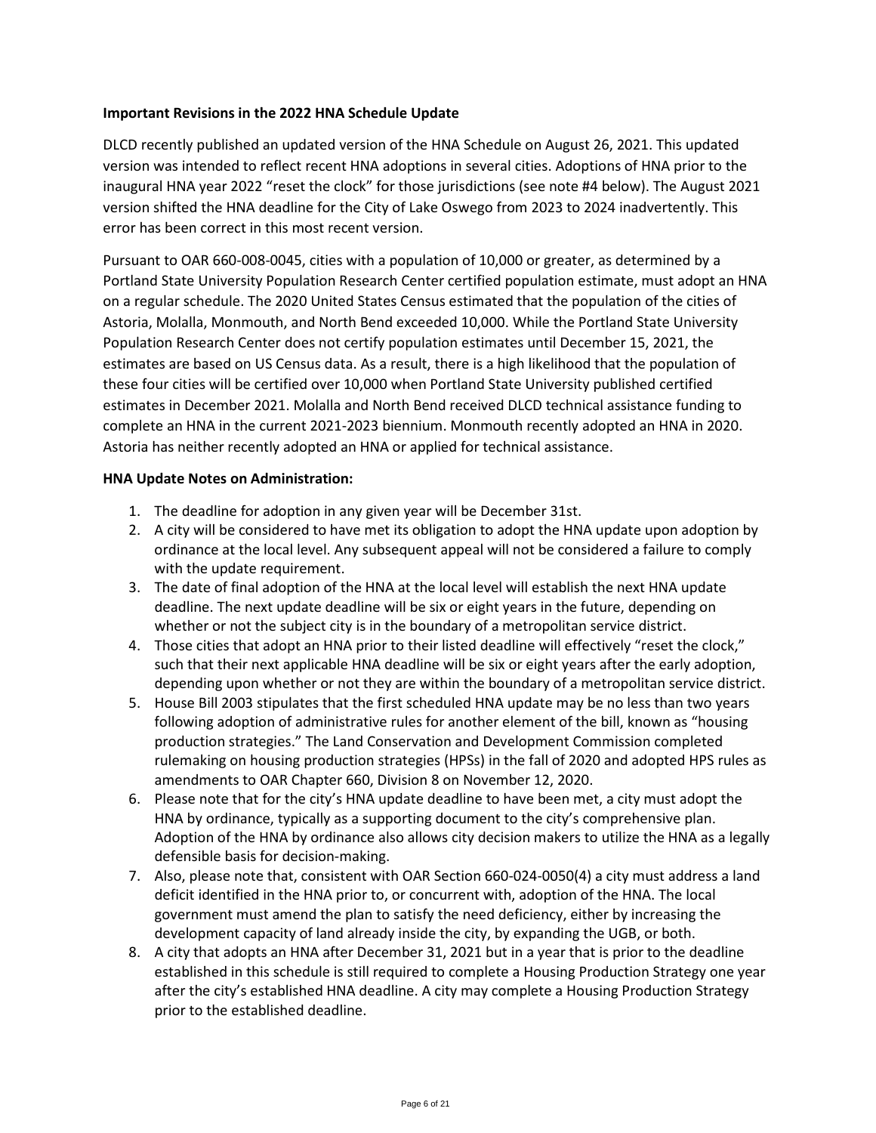### **Important Revisions in the 2022 HNA Schedule Update**

DLCD recently published an updated version of the HNA Schedule on August 26, 2021. This updated version was intended to reflect recent HNA adoptions in several cities. Adoptions of HNA prior to the inaugural HNA year 2022 "reset the clock" for those jurisdictions (see note #4 below). The August 2021 version shifted the HNA deadline for the City of Lake Oswego from 2023 to 2024 inadvertently. This error has been correct in this most recent version.

Pursuant to OAR 660-008-0045, cities with a population of 10,000 or greater, as determined by a Portland State University Population Research Center certified population estimate, must adopt an HNA on a regular schedule. The 2020 United States Census estimated that the population of the cities of Astoria, Molalla, Monmouth, and North Bend exceeded 10,000. While the Portland State University Population Research Center does not certify population estimates until December 15, 2021, the estimates are based on US Census data. As a result, there is a high likelihood that the population of these four cities will be certified over 10,000 when Portland State University published certified estimates in December 2021. Molalla and North Bend received DLCD technical assistance funding to complete an HNA in the current 2021-2023 biennium. Monmouth recently adopted an HNA in 2020. Astoria has neither recently adopted an HNA or applied for technical assistance.

### **HNA Update Notes on Administration:**

- 1. The deadline for adoption in any given year will be December 31st.
- 2. A city will be considered to have met its obligation to adopt the HNA update upon adoption by ordinance at the local level. Any subsequent appeal will not be considered a failure to comply with the update requirement.
- 3. The date of final adoption of the HNA at the local level will establish the next HNA update deadline. The next update deadline will be six or eight years in the future, depending on whether or not the subject city is in the boundary of a metropolitan service district.
- 4. Those cities that adopt an HNA prior to their listed deadline will effectively "reset the clock," such that their next applicable HNA deadline will be six or eight years after the early adoption, depending upon whether or not they are within the boundary of a metropolitan service district.
- 5. House Bill 2003 stipulates that the first scheduled HNA update may be no less than two years following adoption of administrative rules for another element of the bill, known as "housing production strategies." The Land Conservation and Development Commission completed rulemaking on housing production strategies (HPSs) in the fall of 2020 and adopted HPS rules as amendments to OAR Chapter 660, Division 8 on November 12, 2020.
- 6. Please note that for the city's HNA update deadline to have been met, a city must adopt the HNA by ordinance, typically as a supporting document to the city's comprehensive plan. Adoption of the HNA by ordinance also allows city decision makers to utilize the HNA as a legally defensible basis for decision-making.
- 7. Also, please note that, consistent with OAR Section 660-024-0050(4) a city must address a land deficit identified in the HNA prior to, or concurrent with, adoption of the HNA. The local government must amend the plan to satisfy the need deficiency, either by increasing the development capacity of land already inside the city, by expanding the UGB, or both.
- 8. A city that adopts an HNA after December 31, 2021 but in a year that is prior to the deadline established in this schedule is still required to complete a Housing Production Strategy one year after the city's established HNA deadline. A city may complete a Housing Production Strategy prior to the established deadline.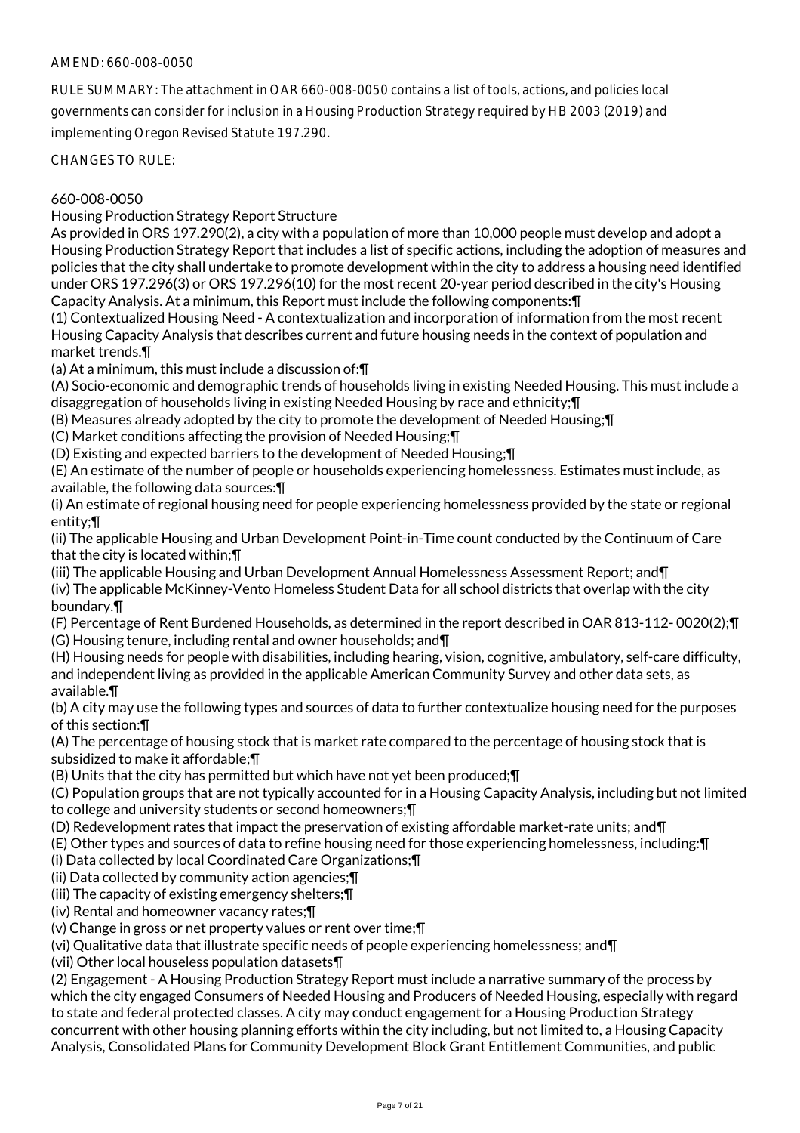# AMEND: 660-008-0050

RULE SUMMARY: The attachment in OAR 660-008-0050 contains a list of tools, actions, and policies local governments can consider for inclusion in a Housing Production Strategy required by HB 2003 (2019) and implementing Oregon Revised Statute 197.290.

CHANGES TO RULE:

# 660-008-0050

Housing Production Strategy Report Structure

As provided in ORS 197.290(2), a city with a population of more than 10,000 people must develop and adopt a Housing Production Strategy Report that includes a list of specific actions, including the adoption of measures and policies that the city shall undertake to promote development within the city to address a housing need identified under ORS 197.296(3) or ORS 197.296(10) for the most recent 20-year period described in the city's Housing Capacity Analysis. At a minimum, this Report must include the following components:¶

(1) Contextualized Housing Need - A contextualization and incorporation of information from the most recent Housing Capacity Analysis that describes current and future housing needs in the context of population and market trends.¶

(a) At a minimum, this must include a discussion of:¶

(A) Socio-economic and demographic trends of households living in existing Needed Housing. This must include a disaggregation of households living in existing Needed Housing by race and ethnicity;¶

(B) Measures already adopted by the city to promote the development of Needed Housing;¶

(C) Market conditions affecting the provision of Needed Housing;¶

(D) Existing and expected barriers to the development of Needed Housing;¶

(E) An estimate of the number of people or households experiencing homelessness. Estimates must include, as available, the following data sources:¶

(i) An estimate of regional housing need for people experiencing homelessness provided by the state or regional entity;¶

(ii) The applicable Housing and Urban Development Point-in-Time count conducted by the Continuum of Care that the city is located within;¶

(iii) The applicable Housing and Urban Development Annual Homelessness Assessment Report; and¶ (iv) The applicable McKinney-Vento Homeless Student Data for all school districts that overlap with the city boundary.¶

(F) Percentage of Rent Burdened Households, as determined in the report described in OAR 813-112- 0020(2);¶ (G) Housing tenure, including rental and owner households; and¶

(H) Housing needs for people with disabilities, including hearing, vision, cognitive, ambulatory, self-care difficulty, and independent living as provided in the applicable American Community Survey and other data sets, as available.¶

(b) A city may use the following types and sources of data to further contextualize housing need for the purposes of this section:¶

(A) The percentage of housing stock that is market rate compared to the percentage of housing stock that is subsidized to make it affordable;¶

(B) Units that the city has permitted but which have not yet been produced;¶

(C) Population groups that are not typically accounted for in a Housing Capacity Analysis, including but not limited to college and university students or second homeowners;¶

(D) Redevelopment rates that impact the preservation of existing affordable market-rate units; and¶

(E) Other types and sources of data to refine housing need for those experiencing homelessness, including:¶

(i) Data collected by local Coordinated Care Organizations;¶

(ii) Data collected by community action agencies;¶

(iii) The capacity of existing emergency shelters;¶

(iv) Rental and homeowner vacancy rates;¶

(v) Change in gross or net property values or rent over time;¶

(vi) Qualitative data that illustrate specific needs of people experiencing homelessness; and¶

(vii) Other local houseless population datasets¶

(2) Engagement - A Housing Production Strategy Report must include a narrative summary of the process by which the city engaged Consumers of Needed Housing and Producers of Needed Housing, especially with regard to state and federal protected classes. A city may conduct engagement for a Housing Production Strategy concurrent with other housing planning efforts within the city including, but not limited to, a Housing Capacity Analysis, Consolidated Plans for Community Development Block Grant Entitlement Communities, and public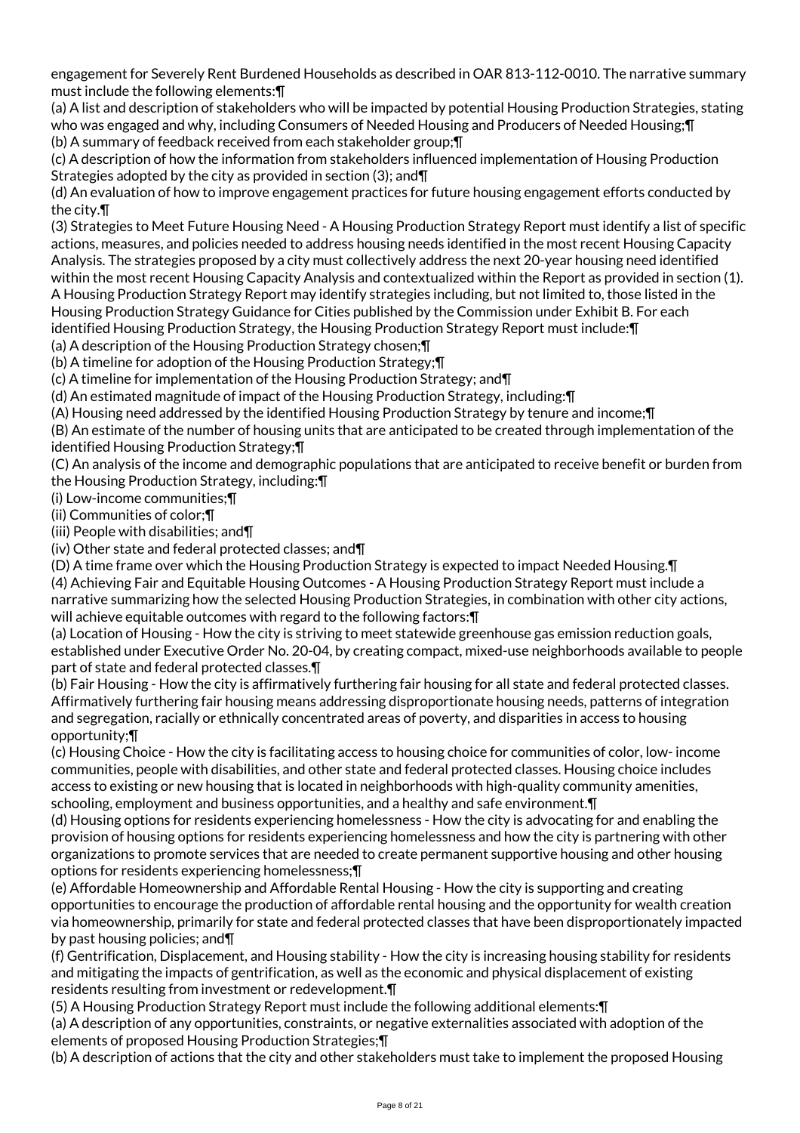engagement for Severely Rent Burdened Households as described in OAR 813-112-0010. The narrative summary must include the following elements:¶

(a) A list and description of stakeholders who will be impacted by potential Housing Production Strategies, stating who was engaged and why, including Consumers of Needed Housing and Producers of Needed Housing;¶ (b) A summary of feedback received from each stakeholder group;¶

(c) A description of how the information from stakeholders influenced implementation of Housing Production Strategies adopted by the city as provided in section (3); and¶

(d) An evaluation of how to improve engagement practices for future housing engagement efforts conducted by the city.¶

(3) Strategies to Meet Future Housing Need - A Housing Production Strategy Report must identify a list of specific actions, measures, and policies needed to address housing needs identified in the most recent Housing Capacity Analysis. The strategies proposed by a city must collectively address the next 20-year housing need identified within the most recent Housing Capacity Analysis and contextualized within the Report as provided in section (1). A Housing Production Strategy Report may identify strategies including, but not limited to, those listed in the Housing Production Strategy Guidance for Cities published by the Commission under Exhibit B. For each identified Housing Production Strategy, the Housing Production Strategy Report must include:¶

(a) A description of the Housing Production Strategy chosen;¶

(b) A timeline for adoption of the Housing Production Strategy;¶

(c) A timeline for implementation of the Housing Production Strategy; and¶

(d) An estimated magnitude of impact of the Housing Production Strategy, including:¶

(A) Housing need addressed by the identified Housing Production Strategy by tenure and income;¶

(B) An estimate of the number of housing units that are anticipated to be created through implementation of the identified Housing Production Strategy;¶

(C) An analysis of the income and demographic populations that are anticipated to receive benefit or burden from the Housing Production Strategy, including:¶

(i) Low-income communities;¶

(ii) Communities of color;¶

(iii) People with disabilities; and¶

(iv) Other state and federal protected classes; and¶

(D) A time frame over which the Housing Production Strategy is expected to impact Needed Housing.¶ (4) Achieving Fair and Equitable Housing Outcomes - A Housing Production Strategy Report must include a narrative summarizing how the selected Housing Production Strategies, in combination with other city actions, will achieve equitable outcomes with regard to the following factors:¶

(a) Location of Housing - How the city is striving to meet statewide greenhouse gas emission reduction goals, established under Executive Order No. 20-04, by creating compact, mixed-use neighborhoods available to people part of state and federal protected classes.¶

(b) Fair Housing - How the city is affirmatively furthering fair housing for all state and federal protected classes. Affirmatively furthering fair housing means addressing disproportionate housing needs, patterns of integration and segregation, racially or ethnically concentrated areas of poverty, and disparities in access to housing opportunity;¶

(c) Housing Choice - How the city is facilitating access to housing choice for communities of color, low- income communities, people with disabilities, and other state and federal protected classes. Housing choice includes access to existing or new housing that is located in neighborhoods with high-quality community amenities, schooling, employment and business opportunities, and a healthy and safe environment.¶

(d) Housing options for residents experiencing homelessness - How the city is advocating for and enabling the provision of housing options for residents experiencing homelessness and how the city is partnering with other organizations to promote services that are needed to create permanent supportive housing and other housing options for residents experiencing homelessness;¶

(e) Affordable Homeownership and Affordable Rental Housing - How the city is supporting and creating opportunities to encourage the production of affordable rental housing and the opportunity for wealth creation via homeownership, primarily for state and federal protected classes that have been disproportionately impacted by past housing policies; and¶

(f) Gentrification, Displacement, and Housing stability - How the city is increasing housing stability for residents and mitigating the impacts of gentrification, as well as the economic and physical displacement of existing residents resulting from investment or redevelopment.¶

(5) A Housing Production Strategy Report must include the following additional elements:¶

(a) A description of any opportunities, constraints, or negative externalities associated with adoption of the elements of proposed Housing Production Strategies;¶

(b) A description of actions that the city and other stakeholders must take to implement the proposed Housing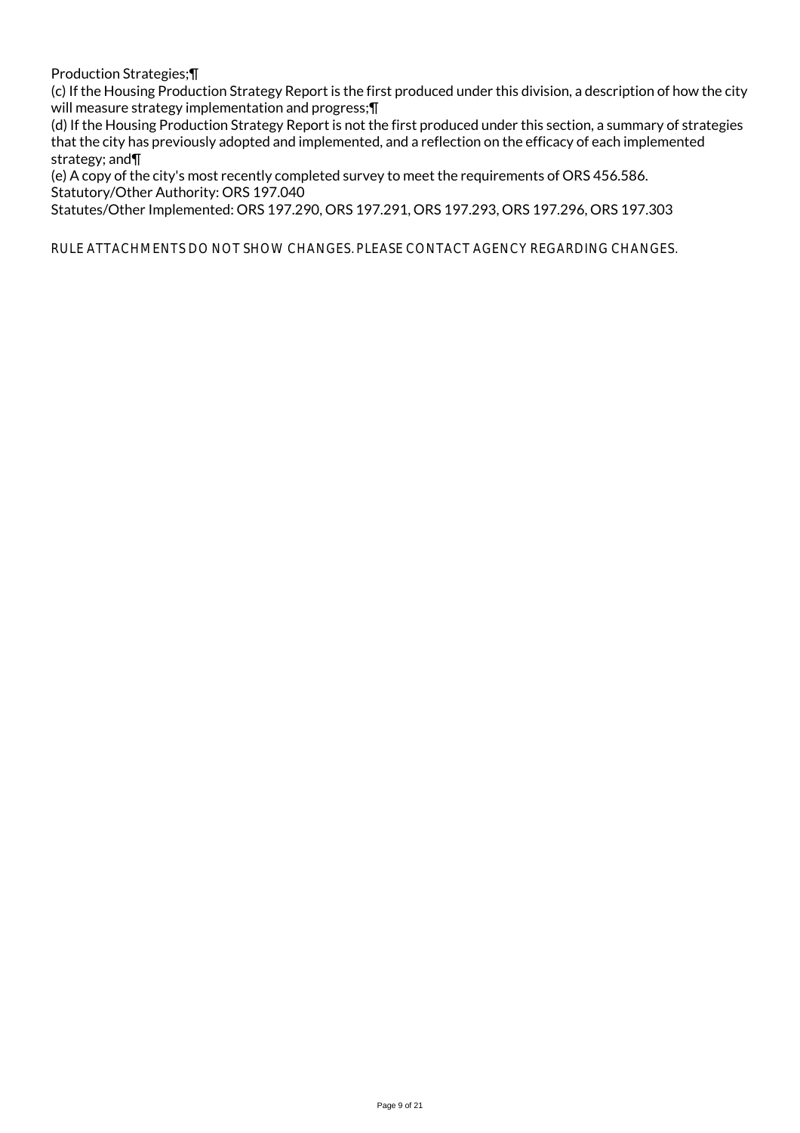Production Strategies;¶

(c) If the Housing Production Strategy Report is the first produced under this division, a description of how the city will measure strategy implementation and progress; []

(d) If the Housing Production Strategy Report is not the first produced under this section, a summary of strategies that the city has previously adopted and implemented, and a reflection on the efficacy of each implemented strategy; and¶

(e) A copy of the city's most recently completed survey to meet the requirements of ORS 456.586. Statutory/Other Authority: ORS 197.040

Statutes/Other Implemented: ORS 197.290, ORS 197.291, ORS 197.293, ORS 197.296, ORS 197.303

RULE ATTACHMENTS DO NOT SHOW CHANGES. PLEASE CONTACT AGENCY REGARDING CHANGES.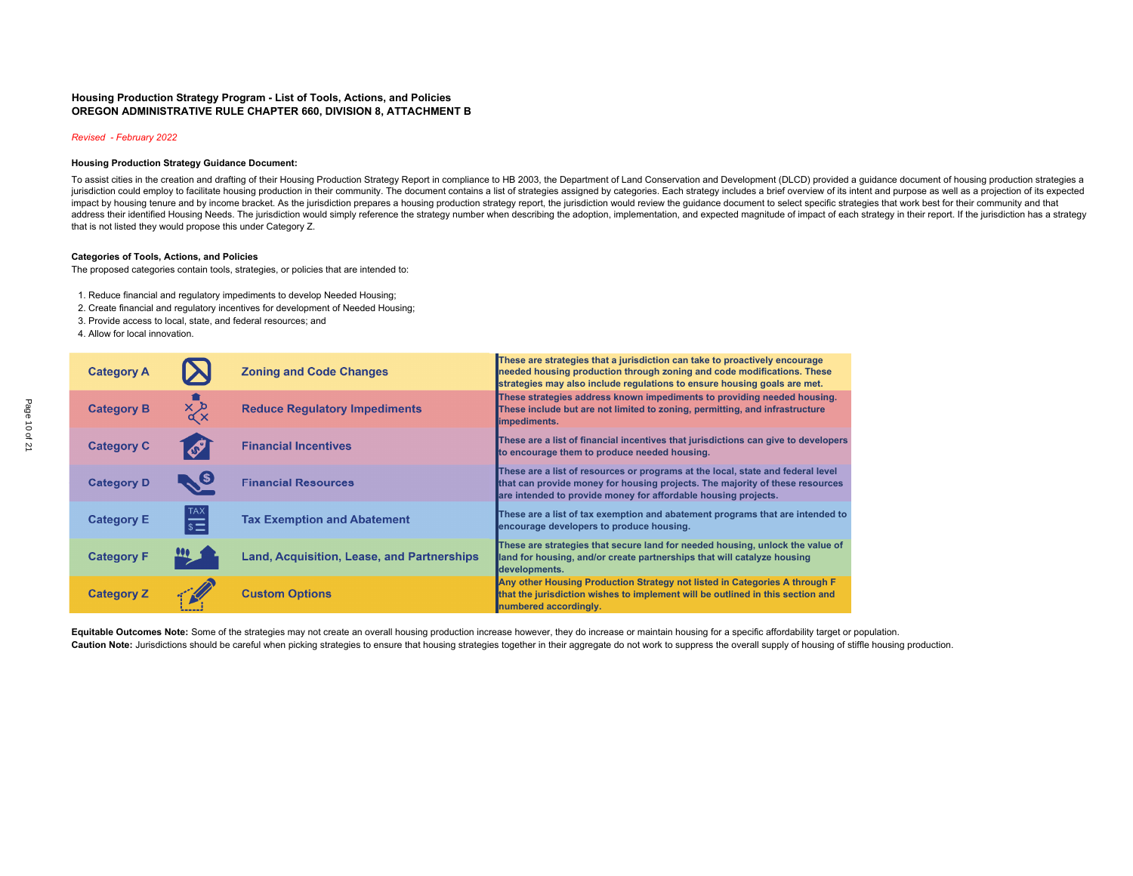### **Housing Production Strategy Program - List of Tools, Actions, and Policies OREGON ADMINISTRATIVE RULE CHAPTER 660, DIVISION 8, ATTACHMENT B**

### *Revised - February 2022*

#### **Housing Production Strategy Guidance Document:**

To assist cities in the creation and drafting of their Housing Production Strategy Report in compliance to HB 2003, the Department of Land Conservation and Development (DLCD) provided a guidance document of housing product jurisdiction could employ to facilitate housing production in their community. The document contains a list of strategies assigned by categories. Each strategy includes a brief overview of its intent and purpose as well as impact by housing tenure and by income bracket. As the jurisdiction prepares a housing production strategy report, the jurisdiction would review the quidance document to select specific strategies that work best for their address their identified Housing Needs. The jurisdiction would simply reference the strategy number when describing the adoption, implementation, and expected magnitude of impact of each strategy in their report. If the ju that is not listed they would propose this under Category Z.

#### **Categories of Tools, Actions, and Policies**

The proposed categories contain tools, strategies, or policies that are intended to:

- 1. Reduce financial and regulatory impediments to develop Needed Housing;
- 2. Create financial and regulatory incentives for development of Needed Housing;
- 3. Provide access to local, state, and federal resources; and
- 4. Allow for local innovation.

| <b>Category A</b> |                                     | <b>Zoning and Code Changes</b>             | These are strategies that a jurisdiction can take to proactively encourage<br>needed housing production through zoning and code modifications. These<br>strategies may also include regulations to ensure housing goals are met.  |
|-------------------|-------------------------------------|--------------------------------------------|-----------------------------------------------------------------------------------------------------------------------------------------------------------------------------------------------------------------------------------|
| <b>Category B</b> | $x^{\times}_{\alpha}$               | <b>Reduce Regulatory Impediments</b>       | These strategies address known impediments to providing needed housing.<br>These include but are not limited to zoning, permitting, and infrastructure<br>limpediments.                                                           |
| <b>Category C</b> | $\boldsymbol{\mathscr{S}}$          | <b>Financial Incentives</b>                | These are a list of financial incentives that jurisdictions can give to developers<br>to encourage them to produce needed housing.                                                                                                |
| <b>Category D</b> | $\bullet$                           | <b>Financial Resources</b>                 | These are a list of resources or programs at the local, state and federal level<br>that can provide money for housing projects. The majority of these resources<br>are intended to provide money for affordable housing projects. |
| <b>Category E</b> | $\overline{\mathbb{S}^{\text{MAX}}$ | <b>Tax Exemption and Abatement</b>         | These are a list of tax exemption and abatement programs that are intended to<br>encourage developers to produce housing.                                                                                                         |
| <b>Category F</b> |                                     | Land, Acquisition, Lease, and Partnerships | These are strategies that secure land for needed housing, unlock the value of<br>land for housing, and/or create partnerships that will catalyze housing<br>developments.                                                         |
| <b>Category Z</b> |                                     | <b>Custom Options</b>                      | Any other Housing Production Strategy not listed in Categories A through F<br>that the jurisdiction wishes to implement will be outlined in this section and<br>numbered accordingly.                                             |

Equitable Outcomes Note: Some of the strategies may not create an overall housing production increase however, they do increase or maintain housing for a specific affordability target or population. Caution Note: Jurisdictions should be careful when picking strategies to ensure that housing strategies together in their aggregate do not work to suppress the overall supply of housing of stiffle housing production.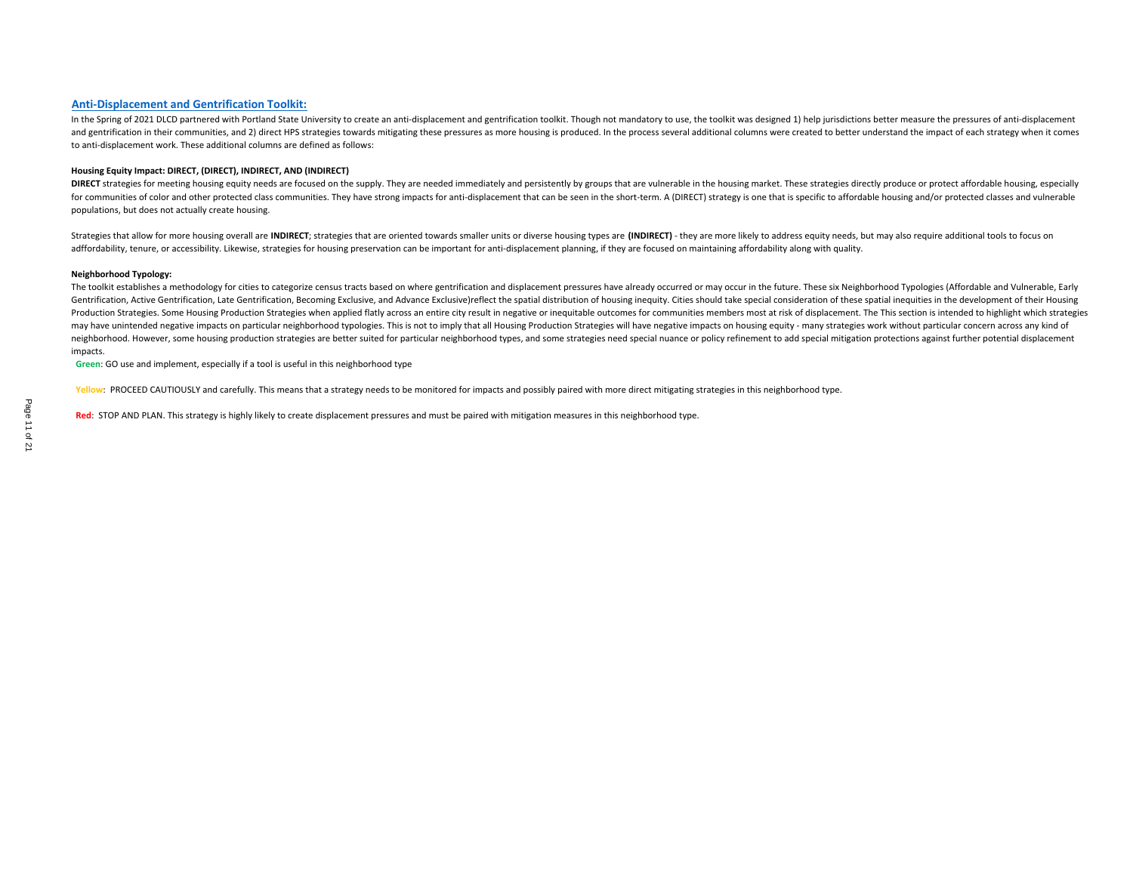### **Anti‐Displacement and Gentrification Toolkit:**

In the Spring of 2021 DLCD partnered with Portland State University to create an anti-displacement and gentrification toolkit. Though not mandatory to use, the toolkit was designed 1) help jurisdictions better measure the and gentrification in their communities, and 2) direct HPS strategies towards mitigating these pressures as more housing is produced. In the process several additional columns were created to better understand the impact o to anti‐displacement work. These additional columns are defined as follows:

#### **Housing Equity Impact: DIRECT, (DIRECT), INDIRECT, AND (INDIRECT)**

DIRECT strategies for meeting housing equity needs are focused on the supply. They are needed immediately and persistently by groups that are vulnerable in the housing market. These strategies directly produce or protect a for communities of color and other protected class communities. They have strong impacts for anti-displacement that can be seen in the short-term. A (DIRECT) strategy is one that is specific to affordable housing and/or pr populations, but does not actually create housing.

Strategies that allow for more housing overall are INDIRECT; strategies that are oriented towards smaller units or diverse housing types are (INDIRECT) - they are more likely to address equity needs, but may also require a adffordability, tenure, or accessibility. Likewise, strategies for housing preservation can be important for anti-displacement planning, if they are focused on maintaining affordability along with quality.

#### **Neighborhood Typology:**

The toolkit establishes a methodology for cities to categorize census tracts based on where gentrification and displacement pressures have already occurred or may occur in the future. These six Neighborhood Typologies (Aff Gentrification, Active Gentrification, Late Gentrification, Becoming Exclusive, and Advance Exclusive)reflect the spatial distribution of housing inequity. Cities should take special consideration of these spatial inequiti Production Strategies. Some Housing Production Strategies when applied flatly across an entire city result in negative or inequitable outcomes for communities members most at risk of displacement. The This section is inten may have unintended negative impacts on particular neighborhood typologies. This is not to imply that all Housing Production Strategies will have negative impacts on housing equity - many strategies work without particular neighborhood. However, some housing production strategies are better suited for particular neighborhood types, and some strategies need special nuance or policy refinement to add special mitigation protections against furt impacts.

**Green**: GO use and implement, especially if <sup>a</sup> tool is useful in this neighborhood type

**Yellow**: PROCEED CAUTIOUSLY and carefully. This means that <sup>a</sup> strategy needs to be monitored for impacts and possibly paired with more direct mitigating strategies in this neighborhood type.

**Red**: STOP AND PLAN. This strategy is highly likely to create displacement pressures and must be paired with mitigation measures in this neighborhood type.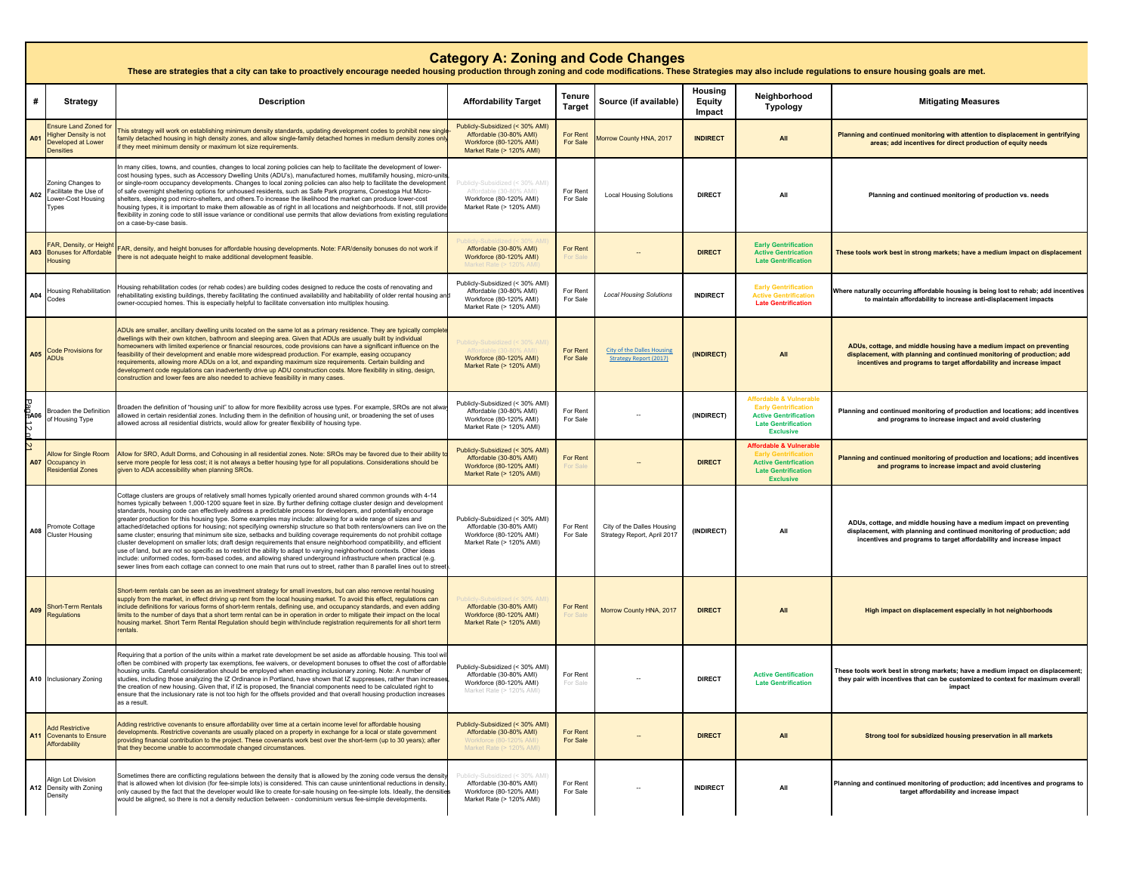|                     | <b>Category A: Zoning and Code Changes</b><br>These are strategies that a city can take to proactively encourage needed housing production through zoning and code modifications. These Strategies may also include regulations to ensure housing goals are met. |                                                                                                                                                                                                                                                                                                                                                                                                                                                                                                                                                                                                                                                                                                                                                                                                                                                                                                                                                                                                                                                                                                                                                                                                                        |                                                                                                                    |                         |                                                                    |                             |                                                                                                                                                     |                                                                                                                                                                                                                        |  |  |
|---------------------|------------------------------------------------------------------------------------------------------------------------------------------------------------------------------------------------------------------------------------------------------------------|------------------------------------------------------------------------------------------------------------------------------------------------------------------------------------------------------------------------------------------------------------------------------------------------------------------------------------------------------------------------------------------------------------------------------------------------------------------------------------------------------------------------------------------------------------------------------------------------------------------------------------------------------------------------------------------------------------------------------------------------------------------------------------------------------------------------------------------------------------------------------------------------------------------------------------------------------------------------------------------------------------------------------------------------------------------------------------------------------------------------------------------------------------------------------------------------------------------------|--------------------------------------------------------------------------------------------------------------------|-------------------------|--------------------------------------------------------------------|-----------------------------|-----------------------------------------------------------------------------------------------------------------------------------------------------|------------------------------------------------------------------------------------------------------------------------------------------------------------------------------------------------------------------------|--|--|
| #                   | <b>Strategy</b>                                                                                                                                                                                                                                                  | <b>Description</b>                                                                                                                                                                                                                                                                                                                                                                                                                                                                                                                                                                                                                                                                                                                                                                                                                                                                                                                                                                                                                                                                                                                                                                                                     | <b>Affordability Target</b>                                                                                        | Tenure<br><b>Target</b> | Source (if available)                                              | Housing<br>Equity<br>Impact | Neighborhood<br>Typology                                                                                                                            | <b>Mitigating Measures</b>                                                                                                                                                                                             |  |  |
| A01                 | <b>Ensure Land Zoned for</b><br>ligher Density is not<br>Developed at Lower<br><b>Densities</b>                                                                                                                                                                  | This strategy will work on establishing minimum density standards, updating development codes to prohibit new single<br>amily detached housing in high density zones, and allow single-family detached homes in medium density zones only<br>f they meet minimum density or maximum lot size requirements.                                                                                                                                                                                                                                                                                                                                                                                                                                                                                                                                                                                                                                                                                                                                                                                                                                                                                                             | Publicly-Subsidized (< 30% AMI)<br>Affordable (30-80% AMI)<br>Workforce (80-120% AMI)<br>Market Rate (> 120% AMI)  | For Rent<br>For Sale    | Morrow County HNA, 2017                                            | <b>INDIRECT</b>             | All                                                                                                                                                 | Planning and continued monitoring with attention to displacement in gentrifying<br>areas; add incentives for direct production of equity needs                                                                         |  |  |
| A02                 | Zoning Changes to<br>Facilitate the Use of<br>Lower-Cost Housing<br>Types                                                                                                                                                                                        | n many cities, towns, and counties, changes to local zoning policies can help to facilitate the development of lower-<br>cost housing types, such as Accessory Dwelling Units (ADU's), manufactured homes, multifamily housing, micro-unit<br>or single-room occupancy developments. Changes to local zoning policies can also help to facilitate the development<br>of safe overnight sheltering options for unhoused residents, such as Safe Park programs, Conestoga Hut Micro-<br>shelters, sleeping pod micro-shelters, and others. To increase the likelihood the market can produce lower-cost<br>housing types, it is important to make them allowable as of right in all locations and neighborhoods. If not, still provide<br>flexibility in zoning code to still issue variance or conditional use permits that allow deviations from existing regulations<br>on a case-by-case basis.                                                                                                                                                                                                                                                                                                                      | Publicly-Subsidized (< 30% AMI<br>Affordable (30-80% AMI)<br>Workforce (80-120% AMI)<br>Market Rate (> 120% AMI)   | For Rent<br>For Sale    | <b>Local Housing Solutions</b>                                     | <b>DIRECT</b>               | All                                                                                                                                                 | Planning and continued monitoring of production vs. needs                                                                                                                                                              |  |  |
| A03                 | AR, Density, or Height<br><b>Bonuses for Affordable</b><br>Housing                                                                                                                                                                                               | FAR, density, and height bonuses for affordable housing developments. Note: FAR/density bonuses do not work if<br>here is not adequate height to make additional development feasible.                                                                                                                                                                                                                                                                                                                                                                                                                                                                                                                                                                                                                                                                                                                                                                                                                                                                                                                                                                                                                                 | Affordable (30-80% AMI)<br>Workforce (80-120% AMI)                                                                 | <b>For Rent</b>         |                                                                    | <b>DIRECT</b>               | <b>Early Gentrification</b><br><b>Active Gentrication</b><br><b>Late Gentrification</b>                                                             | These tools work best in strong markets; have a medium impact on displacement                                                                                                                                          |  |  |
| A04                 | Housing Rehabilitation<br>Codes                                                                                                                                                                                                                                  | lousing rehabilitation codes (or rehab codes) are building codes designed to reduce the costs of renovating and<br>ehabilitating existing buildings, thereby facilitating the continued availability and habitability of older rental housing and<br>wner-occupied homes. This is especially helpful to facilitate conversation into multiplex housing.                                                                                                                                                                                                                                                                                                                                                                                                                                                                                                                                                                                                                                                                                                                                                                                                                                                                | Publicly-Subsidized (< 30% AMI)<br>Affordable (30-80% AMI)<br>Workforce (80-120% AMI)<br>Market Rate (> 120% AMI)  | For Rent<br>For Sale    | <b>Local Housing Solutions</b>                                     | <b>INDIRECT</b>             | <b>Early Gentrification</b><br><b>Active Gentrification</b><br><b>Late Gentrification</b>                                                           | Where naturally occurring affordable housing is being lost to rehab; add incentives<br>to maintain affordability to increase anti-displacement impacts                                                                 |  |  |
| A05                 | <b>Code Provisions for</b><br><b>ADUs</b>                                                                                                                                                                                                                        | ADUs are smaller, ancillary dwelling units located on the same lot as a primary residence. They are typically complet<br>dwellings with their own kitchen, bathroom and sleeping area. Given that ADUs are usually built by individual<br>nomeowners with limited experience or financial resources, code provisions can have a significant influence on the<br>easibility of their development and enable more widespread production. For example, easing occupancy<br>requirements, allowing more ADUs on a lot, and expanding maximum size requirements. Certain building and<br>development code regulations can inadvertently drive up ADU construction costs. More flexibility in siting, design,<br>construction and lower fees are also needed to achieve feasibility in many cases.                                                                                                                                                                                                                                                                                                                                                                                                                           | olicly-Subsidized (< 30% AM<br>Workforce (80-120% AMI)<br>Market Rate (> 120% AMI)                                 | For Rent<br>For Sale    | <b>City of the Dalles Housing</b><br><b>Strategy Report (2017)</b> | (INDIRECT)                  | All                                                                                                                                                 | ADUs, cottage, and middle housing have a medium impact on preventing<br>displacement, with planning and continued monitoring of production; add<br>incentives and programs to target affordability and increase impact |  |  |
| <b>BA06</b><br>f2   | Broaden the Definition<br>of Housing Type                                                                                                                                                                                                                        | Broaden the definition of "housing unit" to allow for more flexibility across use types. For example, SROs are not alw<br>illowed in certain residential zones. Including them in the definition of housing unit, or broadening the set of uses<br>illowed across all residential districts, would allow for greater flexibility of housing type.                                                                                                                                                                                                                                                                                                                                                                                                                                                                                                                                                                                                                                                                                                                                                                                                                                                                      | Publicly-Subsidized (< 30% AMI)<br>Affordable (30-80% AMI)<br>Workforce (80-120% AMI)<br>Market Rate (> 120% AMI)  | For Rent<br>For Sale    |                                                                    | (INDIRECT)                  | <b>Affordable &amp; Vulnerable</b><br><b>Early Gentrification</b><br><b>Active Gentrification</b><br><b>Late Gentrification</b><br><b>Exclusive</b> | Planning and continued monitoring of production and locations; add incentives<br>and programs to increase impact and avoid clustering                                                                                  |  |  |
| $\mathbf{z}$<br>A07 | Allow for Single Room<br>Occupancy in<br><b>Residential Zones</b>                                                                                                                                                                                                | Allow for SRO, Adult Dorms, and Cohousing in all residential zones. Note: SROs may be favored due to their ability t<br>serve more people for less cost; it is not always a better housing type for all populations. Considerations should be<br>given to ADA accessibility when planning SROs.                                                                                                                                                                                                                                                                                                                                                                                                                                                                                                                                                                                                                                                                                                                                                                                                                                                                                                                        | Publicly-Subsidized (< 30% AMI)<br>Affordable (30-80% AMI)<br>Workforce (80-120% AMI)<br>Market Rate (> 120% AMI)  | For Rent                |                                                                    | <b>DIRECT</b>               | <b>Affordable &amp; Vulnerable</b><br><b>Active Gentrfication</b><br><b>Late Gentrification</b><br><b>Exclusive</b>                                 | Planning and continued monitoring of production and locations; add incentives<br>and programs to increase impact and avoid clustering                                                                                  |  |  |
| A08                 | Promote Cottage<br><b>Cluster Housing</b>                                                                                                                                                                                                                        | Cottage clusters are groups of relatively small homes typically oriented around shared common grounds with 4-14<br>homes typically between 1,000-1200 square feet in size. By further defining cottage cluster design and development<br>standards, housing code can effectively address a predictable process for developers, and potentially encourage<br>greater production for this housing type. Some examples may include: allowing for a wide range of sizes and<br>attached/detached options for housing; not specifying ownership structure so that both renters/owners can live on the<br>ame cluster; ensuring that minimum site size, setbacks and building coverage requirements do not prohibit cottage<br>cluster development on smaller lots; draft design requirements that ensure neighborhood compatibility, and efficient<br>use of land, but are not so specific as to restrict the ability to adapt to varying neighborhood contexts. Other ideas<br>include: uniformed codes, form-based codes, and allowing shared underground infrastructure when practical (e.g.<br>sewer lines from each cottage can connect to one main that runs out to street, rather than 8 parallel lines out to stree | Publicly-Subsidized (< 30% AMI)<br>Affordable (30-80% AMI)<br>Workforce (80-120% AMI)<br>Market Rate (> 120% AMI)  | For Rent<br>For Sale    | City of the Dalles Housing<br>Strategy Report, April 2017          | (INDIRECT)                  | All                                                                                                                                                 | ADUs, cottage, and middle housing have a medium impact on preventing<br>displacement, with planning and continued monitoring of production; add<br>incentives and programs to target affordability and increase impact |  |  |
| A09                 | <b>Short-Term Rentals</b><br>Regulations                                                                                                                                                                                                                         | Short-term rentals can be seen as an investment strategy for small investors, but can also remove rental housing<br>upply from the market, in effect driving up rent from the local housing market. To avoid this effect, regulations can<br>nclude definitions for various forms of short-term rentals, defining use, and occupancy standards, and even adding<br>imits to the number of days that a short term rental can be in operation in order to mitigate their impact on the local<br>housing market. Short Term Rental Regulation should begin with/include registration requirements for all short term<br>rentals.                                                                                                                                                                                                                                                                                                                                                                                                                                                                                                                                                                                          | Affordable (30-80% AMI)<br>Workforce (80-120% AMI)<br>Market Rate (> 120% AMI)                                     | For Rent                | Morrow County HNA, 2017                                            | <b>DIRECT</b>               | All                                                                                                                                                 | High impact on displacement especially in hot neighborhoods                                                                                                                                                            |  |  |
|                     | A10 Inclusionary Zoning                                                                                                                                                                                                                                          | Requiring that a portion of the units within a market rate development be set aside as affordable housing. This tool w<br>often be combined with property tax exemptions, fee waivers, or development bonuses to offset the cost of affordable<br>housing units. Careful consideration should be employed when enacting inclusionary zoning. Note: A number of<br>studies, including those analyzing the IZ Ordinance in Portland, have shown that IZ suppresses, rather than increases<br>the creation of new housing. Given that, if IZ is proposed, the financial components need to be calculated right to<br>ensure that the inclusionary rate is not too high for the offsets provided and that overall housing production increases<br>as a result.                                                                                                                                                                                                                                                                                                                                                                                                                                                             | Publicly-Subsidized (< 30% AMI)<br>Affordable (30-80% AMI)<br>Workforce (80-120% AMI)<br>Market Rate (> 120% AMI)  | For Rent                |                                                                    | <b>DIRECT</b>               | <b>Active Gentification</b><br><b>Late Gentrification</b>                                                                                           | These tools work best in strong markets; have a medium impact on displacement;<br>they pair with incentives that can be customized to context for maximum overall                                                      |  |  |
|                     | <b>Add Restrictive</b><br>A11 Covenants to Ensure<br>Affordability                                                                                                                                                                                               | Adding restrictive covenants to ensure affordability over time at a certain income level for affordable housing<br>developments. Restrictive covenants are usually placed on a property in exchange for a local or state government<br>providing financial contribution to the project. These covenants work best over the short-term (up to 30 years); after<br>that they become unable to accommodate changed circumstances.                                                                                                                                                                                                                                                                                                                                                                                                                                                                                                                                                                                                                                                                                                                                                                                         | Publicly-Subsidized (< 30% AMI)<br>Affordable (30-80% AMI)<br>//Workforce (80-120% AMI<br>Market Rate (> 120% AMI) | For Rent<br>For Sale    |                                                                    | <b>DIRECT</b>               | All                                                                                                                                                 | Strong tool for subsidized housing preservation in all markets                                                                                                                                                         |  |  |
|                     | Align Lot Division<br>A12 Density with Zoning<br>Densitv                                                                                                                                                                                                         | Sometimes there are conflicting regulations between the density that is allowed by the zoning code versus the density<br>that is allowed when lot division (for fee-simple lots) is considered. This can cause unintentional reductions in density<br>only caused by the fact that the developer would like to create for-sale housing on fee-simple lots. Ideally, the densities<br>would be aligned, so there is not a density reduction between - condominium versus fee-simple developments.                                                                                                                                                                                                                                                                                                                                                                                                                                                                                                                                                                                                                                                                                                                       | ublicly-Subsidized (< 30% AMI)<br>Affordable (30-80% AMI)<br>Workforce (80-120% AMI)<br>Market Rate (> 120% AMI)   | For Rent<br>For Sale    |                                                                    | <b>INDIRECT</b>             | All                                                                                                                                                 | Planning and continued monitoring of production; add incentives and programs to<br>target affordability and increase impact                                                                                            |  |  |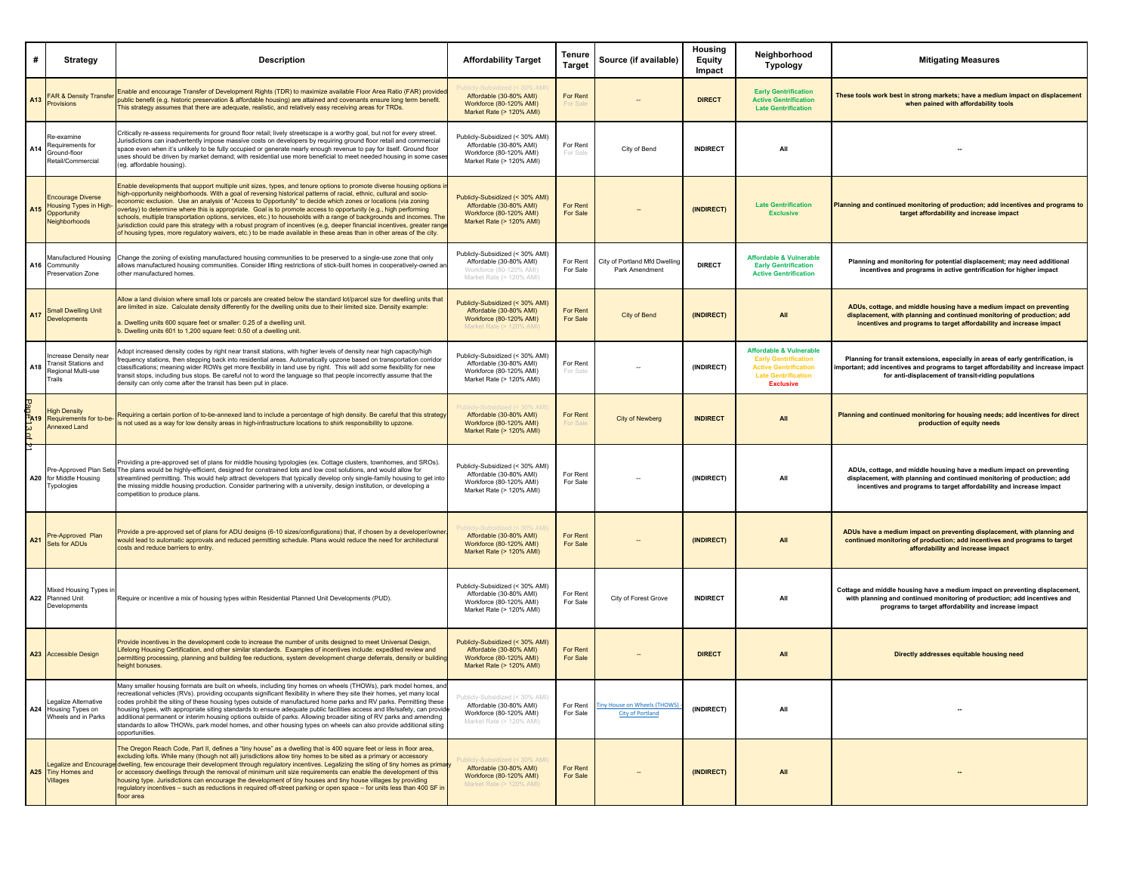| #                                 | <b>Strategy</b>                                                                    | <b>Description</b>                                                                                                                                                                                                                                                                                                                                                                                                                                                                                                                                                                                                                                                                                                                                                                                                                                              | <b>Affordability Target</b>                                                                                       | Tenure<br><b>Target</b>     | Source (if available)                                  | Housing<br>Equity<br>Impact | Neighborhood<br>Typology                                                                                                                            | <b>Mitigating Measures</b>                                                                                                                                                                                                    |
|-----------------------------------|------------------------------------------------------------------------------------|-----------------------------------------------------------------------------------------------------------------------------------------------------------------------------------------------------------------------------------------------------------------------------------------------------------------------------------------------------------------------------------------------------------------------------------------------------------------------------------------------------------------------------------------------------------------------------------------------------------------------------------------------------------------------------------------------------------------------------------------------------------------------------------------------------------------------------------------------------------------|-------------------------------------------------------------------------------------------------------------------|-----------------------------|--------------------------------------------------------|-----------------------------|-----------------------------------------------------------------------------------------------------------------------------------------------------|-------------------------------------------------------------------------------------------------------------------------------------------------------------------------------------------------------------------------------|
| A <sub>13</sub>                   | <b>FAR &amp; Density Transfe</b><br><b>Provisions</b>                              | Enable and encourage Transfer of Development Rights (TDR) to maximize available Floor Area Ratio (FAR) provided<br>public benefit (e.g. historic preservation & affordable housing) are attained and covenants ensure long term benefit.<br>This strategy assumes that there are adequate, realistic, and relatively easy receiving areas for TRDs.                                                                                                                                                                                                                                                                                                                                                                                                                                                                                                             | Affordable (30-80% AMI)<br>Workforce (80-120% AMI)<br>Market Rate (> 120% AMI)                                    | For Rent<br>For Sal         |                                                        | <b>DIRECT</b>               | <b>Early Gentrification</b><br><b>Active Gentrification</b><br><b>Late Gentrification</b>                                                           | These tools work best in strong markets; have a medium impact on displacement<br>when pained with affordability tools                                                                                                         |
| A14                               | रेe-examine<br>Requirements for<br>Ground-floor<br><b>Retail/Commercial</b>        | Critically re-assess requirements for ground floor retail; lively streetscape is a worthy goal, but not for every street.<br>Jurisdictions can inadvertently impose massive costs on developers by requiring ground floor retail and commercial<br>space even when it's unlikely to be fully occupied or generate nearly enough revenue to pay for itself. Ground floor<br>uses should be driven by market demand; with residential use more beneficial to meet needed housing in some case<br>(eg. affordable housing).                                                                                                                                                                                                                                                                                                                                        | Publicly-Subsidized (< 30% AMI)<br>Affordable (30-80% AMI)<br>Workforce (80-120% AMI)<br>Market Rate (> 120% AMI) | For Rent<br>For Sale        | City of Bend                                           | <b>INDIRECT</b>             | All                                                                                                                                                 |                                                                                                                                                                                                                               |
| A <sub>15</sub>                   | <b>Encourage Diverse</b><br>Housing Types in High-<br>Opportunity<br>Neighborhoods | Enable developments that support multiple unit sizes, types, and tenure options to promote diverse housing options i<br>high-opportunity neighborhoods. With a goal of reversing historical patterns of racial, ethnic, cultural and socio-<br>economic exclusion. Use an analysis of "Access to Opportunity" to decide which zones or locations (via zoning<br>overlay) to determine where this is appropriate. Goal is to promote access to opportunity (e.g., high performing<br>schools, multiple transportation options, services, etc.) to households with a range of backgrounds and incomes. The<br>jurisdiction could pare this strategy with a robust program of incentives (e.g, deeper financial incentives, greater range<br>of housing types, more regulatory waivers, etc.) to be made available in these areas than in other areas of the city. | Publicly-Subsidized (< 30% AMI)<br>Affordable (30-80% AMI)<br>Workforce (80-120% AMI)<br>Market Rate (> 120% AMI) | For Rent<br><b>For Sale</b> |                                                        | (INDIRECT)                  | <b>Late Gentrification</b><br><b>Exclusive</b>                                                                                                      | Planning and continued monitoring of production; add incentives and programs to<br>target affordability and increase impact                                                                                                   |
|                                   | Manufactured Housing<br>A16 Community<br>Preservation Zone                         | Change the zoning of existing manufactured housing communities to be preserved to a single-use zone that only<br>allows manufactured housing communities. Consider lifting restrictions of stick-built homes in cooperatively-owned an<br>other manufactured homes.                                                                                                                                                                                                                                                                                                                                                                                                                                                                                                                                                                                             | Publicly-Subsidized (< 30% AMI)<br>Affordable (30-80% AMI)<br>Workforce (80-120% AMI)<br>Market Rate (> 120% AMI) | For Rent<br>For Sale        | City of Portland Mfd Dwelling<br>Park Amendment        | <b>DIRECT</b>               | <b>Affordable &amp; Vulnerable</b><br><b>Early Gentrification</b><br><b>Active Gentrification</b>                                                   | Planning and monitoring for potential displacement; may need additional<br>incentives and programs in active gentrification for higher impact                                                                                 |
| A17                               | <b>Small Dwelling Unit</b><br>Developments                                         | Allow a land division where small lots or parcels are created below the standard lot/parcel size for dwelling units that<br>are limited in size. Calculate density differently for the dwelling units due to their limited size. Density example:<br>a. Dwelling units 600 square feet or smaller: 0.25 of a dwelling unit.<br>b. Dwelling units 601 to 1,200 square feet: 0.50 of a dwelling unit.                                                                                                                                                                                                                                                                                                                                                                                                                                                             | Publicly-Subsidized (< 30% AMI)<br>Affordable (30-80% AMI)<br>Workforce (80-120% AMI)<br>Market Rate (> 120% AM   | For Rent<br>For Sale        | City of Bend                                           | (INDIRECT)                  | All                                                                                                                                                 | ADUs, cottage, and middle housing have a medium impact on preventing<br>displacement, with planning and continued monitoring of production; add<br>incentives and programs to target affordability and increase impact        |
| A18                               | ncrease Density near<br>Transit Stations and<br>Regional Multi-use<br>Trails       | Adopt increased density codes by right near transit stations, with higher levels of density near high capacity/high<br>frequency stations, then stepping back into residential areas. Automatically upzone based on transportation corridor<br>classifications; meaning wider ROWs get more flexibility in land use by right. This will add some flexibility for new<br>ransit stops, including bus stops. Be careful not to word the language so that people incorrectly assume that the<br>density can only come after the transit has been put in place.                                                                                                                                                                                                                                                                                                     | Publicly-Subsidized (< 30% AMI)<br>Affordable (30-80% AMI)<br>Workforce (80-120% AMI)<br>Market Rate (> 120% AMI) | For Rent<br>For Sale        |                                                        | (INDIRECT)                  | <b>Affordable &amp; Vulnerable</b><br><b>Early Gentrification</b><br><b>Active Gentrification</b><br><b>Late Gentrification</b><br><b>Exclusive</b> | Planning for transit extensions, especially in areas of early gentrification, is<br>important; add incentives and programs to target affordability and increase impact<br>for anti-displacement of transit-riding populations |
| $\frac{2}{\text{Page}^4}$ 3 of 21 | <b>High Density</b><br>Requirements for to-be<br><b>Annexed Land</b>               | Requiring a certain portion of to-be-annexed land to include a percentage of high density. Be careful that this strategy<br>is not used as a way for low density areas in high-infrastructure locations to shirk responsibility to upzone.                                                                                                                                                                                                                                                                                                                                                                                                                                                                                                                                                                                                                      | Affordable (30-80% AMI)<br>Workforce (80-120% AMI)<br>Market Rate (> 120% AMI)                                    | For Rent<br>For Sal         | <b>City of Newberg</b>                                 | <b>INDIRECT</b>             | All                                                                                                                                                 | Planning and continued monitoring for housing needs; add incentives for direct<br>production of equity needs                                                                                                                  |
|                                   | A20 for Middle Housing<br>Typologies                                               | Providing a pre-approved set of plans for middle housing typologies (ex. Cottage clusters, townhomes, and SROs)<br>re-Approved Plan Sets The plans would be highly-efficient, designed for constrained lots and low cost solutions, and would allow for<br>streamlined permitting. This would help attract developers that typically develop only single-family housing to get into<br>the missing middle housing production. Consider partnering with a university, design institution, or developing a<br>competition to produce plans.                                                                                                                                                                                                                                                                                                                       | Publicly-Subsidized (< 30% AMI)<br>Affordable (30-80% AMI)<br>Workforce (80-120% AMI)<br>Market Rate (> 120% AMI) | For Rent<br>For Sale        |                                                        | (INDIRECT)                  | All                                                                                                                                                 | ADUs, cottage, and middle housing have a medium impact on preventing<br>displacement, with planning and continued monitoring of production; add<br>incentives and programs to target affordability and increase impact        |
| A21                               | Pre-Approved Plan<br>Sets for ADUs                                                 | Provide a pre-approved set of plans for ADU designs (6-10 sizes/configurations) that, if chosen by a developer/owne<br>would lead to automatic approvals and reduced permitting schedule. Plans would reduce the need for architectural<br>costs and reduce barriers to entry                                                                                                                                                                                                                                                                                                                                                                                                                                                                                                                                                                                   | Affordable (30-80% AMI)<br>Workforce (80-120% AMI)<br>Market Rate (> 120% AMI)                                    | For Rent<br>For Sale        |                                                        | (INDIRECT)                  | All                                                                                                                                                 | ADUs have a medium impact on preventing displacement, with planning and<br>continued monitoring of production; add incentives and programs to target<br>affordability and increase impact                                     |
|                                   | Mixed Housing Types i<br>A22 Planned Unit<br>Developments                          | Require or incentive a mix of housing types within Residential Planned Unit Developments (PUD).                                                                                                                                                                                                                                                                                                                                                                                                                                                                                                                                                                                                                                                                                                                                                                 | Publicly-Subsidized (< 30% AMI)<br>Affordable (30-80% AMI)<br>Workforce (80-120% AMI)<br>Market Rate (> 120% AMI) | For Rent<br>For Sale        | City of Forest Grove                                   | <b>INDIRECT</b>             | All                                                                                                                                                 | Cottage and middle housing have a medium impact on preventing displacement,<br>with planning and continued monitoring of production; add incentives and<br>programs to target affordability and increase impact               |
|                                   | A23 Accessible Design                                                              | Provide incentives in the development code to increase the number of units designed to meet Universal Design,<br>Lifelong Housing Certification, and other similar standards. Examples of incentives include: expedited review and<br>ermitting processing, planning and building fee reductions, system development charge deferrals, density or building<br>height bonuses                                                                                                                                                                                                                                                                                                                                                                                                                                                                                    | Publicly-Subsidized (< 30% AMI)<br>Affordable (30-80% AMI)<br>Workforce (80-120% AMI)<br>Market Rate (> 120% AMI) | For Rent<br>For Sale        |                                                        | <b>DIRECT</b>               | All                                                                                                                                                 | Directly addresses equitable housing need                                                                                                                                                                                     |
|                                   | egalize Alternative<br>A24 Housing Types on<br>Wheels and in Parks                 | Many smaller housing formats are built on wheels, including tiny homes on wheels (THOWs), park model homes, an<br>recreational vehicles (RVs). providing occupants significant flexibility in where they site their homes, yet many local<br>codes prohibit the siting of these housing types outside of manufactured home parks and RV parks. Permitting these<br>housing types, with appropriate siting standards to ensure adequate public facilities access and life/safety, can provid<br>additional permanent or interim housing options outside of parks. Allowing broader siting of RV parks and amending<br>standards to allow THOWs, park model homes, and other housing types on wheels can also provide additional siting<br>opportunities.                                                                                                         | Publicly-Subsidized (< 30% AMI)<br>Affordable (30-80% AMI)<br>Workforce (80-120% AMI)<br>Market Rate (> 120% AMI) | For Rent<br>For Sale        | iny House on Wheels (THOWS)<br><b>City of Portland</b> | (INDIRECT)                  | All                                                                                                                                                 |                                                                                                                                                                                                                               |
|                                   | A25 Tiny Homes and<br><b>Villages</b>                                              | The Oregon Reach Code, Part II, defines a "tiny house" as a dwelling that is 400 square feet or less in floor area,<br>excluding lofts. While many (though not all) jurisdictions allow tiny homes to be sited as a primary or accessory<br>Legalize and Encourage dwelling, few encourage their development through regulatory incentives. Legalizing the siting of tiny homes as primary<br>or accessory dwellings through the removal of minimum unit size requirements can enable the development of this<br>housing type. Jurisdictions can encourage the development of tiny houses and tiny house villages by providing<br>regulatory incentives - such as reductions in required off-street parking or open space - for units less than 400 SF in<br>floor area                                                                                         | ublicly-Subsidized (< 30% AMI)<br>Affordable (30-80% AMI)<br>Workforce (80-120% AMI)<br>Market Rate (> 120% AMI)  | For Rent<br>For Sale        |                                                        | (INDIRECT)                  | All                                                                                                                                                 |                                                                                                                                                                                                                               |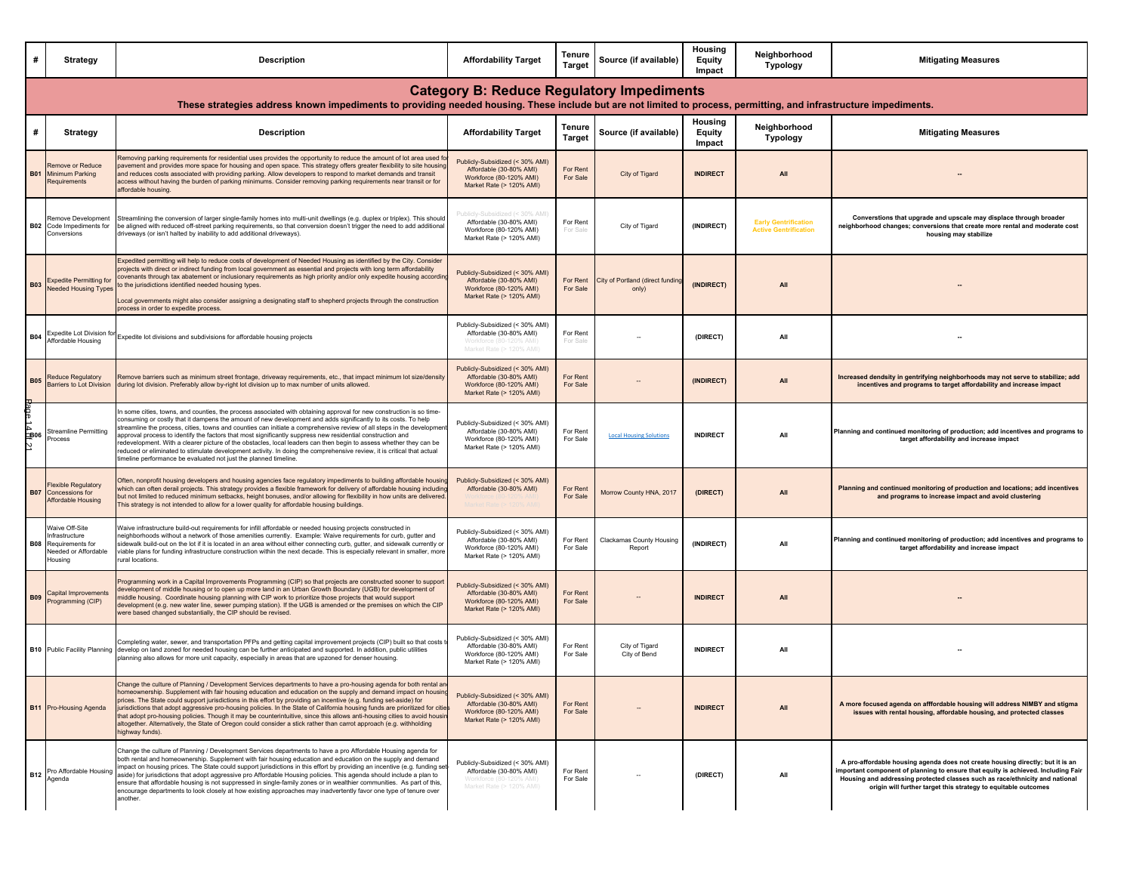| #          | <b>Strategy</b>                                                                               | <b>Description</b>                                                                                                                                                                                                                                                                                                                                                                                                                                                                                                                                                                                                                                                                                                                                                                           | <b>Affordability Target</b>                                                                                       | Tenure<br>Target        | Source (if available)                     | Housing<br>Equity<br>Impact | Neighborhood<br><b>Typology</b>                             | <b>Mitigating Measures</b>                                                                                                                                                                                                                                                                                           |
|------------|-----------------------------------------------------------------------------------------------|----------------------------------------------------------------------------------------------------------------------------------------------------------------------------------------------------------------------------------------------------------------------------------------------------------------------------------------------------------------------------------------------------------------------------------------------------------------------------------------------------------------------------------------------------------------------------------------------------------------------------------------------------------------------------------------------------------------------------------------------------------------------------------------------|-------------------------------------------------------------------------------------------------------------------|-------------------------|-------------------------------------------|-----------------------------|-------------------------------------------------------------|----------------------------------------------------------------------------------------------------------------------------------------------------------------------------------------------------------------------------------------------------------------------------------------------------------------------|
|            |                                                                                               | These strategies address known impediments to providing needed housing. These include but are not limited to process, permitting, and infrastructure impediments.                                                                                                                                                                                                                                                                                                                                                                                                                                                                                                                                                                                                                            | <b>Category B: Reduce Regulatory Impediments</b>                                                                  |                         |                                           |                             |                                                             |                                                                                                                                                                                                                                                                                                                      |
| #          | <b>Strategy</b>                                                                               | <b>Description</b>                                                                                                                                                                                                                                                                                                                                                                                                                                                                                                                                                                                                                                                                                                                                                                           | <b>Affordability Target</b>                                                                                       | Tenure<br><b>Target</b> | Source (if available)                     | Housing<br>Equity<br>Impact | Neighborhood<br>Typology                                    | <b>Mitigating Measures</b>                                                                                                                                                                                                                                                                                           |
| <b>B01</b> | Remove or Reduce<br>Minimum Parking<br>Requirements                                           | temoving parking requirements for residential uses provides the opportunity to reduce the amount of lot area used fi<br>pavement and provides more space for housing and open space. This strategy offers greater flexibility to site housing<br>ind reduces costs associated with providing parking. Allow developers to respond to market demands and transit<br>iccess without having the burden of parking minimums. Consider removing parking requirements near transit or for<br>affordable housing.                                                                                                                                                                                                                                                                                   | Publicly-Subsidized (< 30% AMI)<br>Affordable (30-80% AMI)<br>Workforce (80-120% AMI)<br>Market Rate (> 120% AMI) | For Rent<br>For Sale    | City of Tigard                            | <b>INDIRECT</b>             | All                                                         |                                                                                                                                                                                                                                                                                                                      |
|            | Remove Development<br><b>B02</b> Code Impediments for<br>Conversions                          | Streamlining the conversion of larger single-family homes into multi-unit dwellings (e.g. duplex or triplex). This should<br>be aligned with reduced off-street parking requirements, so that conversion doesn't trigger the need to add additional<br>driveways (or isn't halted by inability to add additional driveways).                                                                                                                                                                                                                                                                                                                                                                                                                                                                 | licly-Subsidized (< 30% AMI<br>Affordable (30-80% AMI)<br>Workforce (80-120% AMI)<br>Market Rate (> 120% AMI)     | For Rent<br>For Sale    | City of Tigard                            | (INDIRECT)                  | <b>Early Gentrification</b><br><b>Active Gentrification</b> | Converstions that upgrade and upscale may displace through broader<br>neighborhood changes; conversions that create more rental and moderate cost<br>housing may stabilize                                                                                                                                           |
| <b>B03</b> | <b>Expedite Permitting for</b><br><b>Needed Housing Type</b>                                  | Expedited permitting will help to reduce costs of development of Needed Housing as identified by the City. Consider<br>projects with direct or indirect funding from local government as essential and projects with long term affordability<br>covenants through tax abatement or inclusionary requirements as high priority and/or only expedite housing according<br>the jurisdictions identified needed housing types.<br>ocal governments might also consider assigning a designating staff to shepherd projects through the construction.<br>rocess in order to expedite process.                                                                                                                                                                                                      | Publicly-Subsidized (< 30% AMI)<br>Affordable (30-80% AMI)<br>Workforce (80-120% AMI)<br>Market Rate (> 120% AMI) | For Rent<br>For Sale    | City of Portland (direct funding<br>only) | (INDIRECT)                  | All                                                         |                                                                                                                                                                                                                                                                                                                      |
| <b>B04</b> | Expedite Lot Division fo<br>Affordable Housing                                                | Expedite lot divisions and subdivisions for affordable housing projects                                                                                                                                                                                                                                                                                                                                                                                                                                                                                                                                                                                                                                                                                                                      | Publicly-Subsidized (< 30% AMI)<br>Affordable (30-80% AMI)<br>Market Rate (> 120% AMI)                            | For Rent<br>For Sa      |                                           | (DIRECT)                    | All                                                         |                                                                                                                                                                                                                                                                                                                      |
| <b>B05</b> | Reduce Regulatory<br><b>Barriers to Lot Division</b>                                          | Remove barriers such as minimum street frontage, driveway requirements, etc., that impact minimum lot size/density<br>luring lot division. Preferably allow by-right lot division up to max number of units allowed.                                                                                                                                                                                                                                                                                                                                                                                                                                                                                                                                                                         | Publicly-Subsidized (< 30% AMI)<br>Affordable (30-80% AMI)<br>Workforce (80-120% AMI)<br>Market Rate (> 120% AMI) | For Rent<br>For Sale    |                                           | (INDIRECT)                  | All                                                         | Increased dendsity in gentrifying neighborhoods may not serve to stabilize; add<br>incentives and programs to target affordability and increase impact                                                                                                                                                               |
| QB06<br>Ņ  | <b>Streamline Permitting</b><br>rocess                                                        | n some cities, towns, and counties, the process associated with obtaining approval for new construction is so time-<br>consuming or costly that it dampens the amount of new development and adds significantly to its costs. To help<br>streamline the process, cities, towns and counties can initiate a comprehensive review of all steps in the developme<br>approval process to identify the factors that most significantly suppress new residential construction and<br>edevelopment. With a clearer picture of the obstacles, local leaders can then begin to assess whether they can be<br>educed or eliminated to stimulate development activity. In doing the comprehensive review, it is critical that actual<br>imeline performance be evaluated not just the planned timeline. | Publicly-Subsidized (< 30% AMI)<br>Affordable (30-80% AMI)<br>Workforce (80-120% AMI)<br>Market Rate (> 120% AMI) | For Rent<br>For Sale    | <b>Local Housing Solutions</b>            | <b>INDIRECT</b>             | All                                                         | Planning and continued monitoring of production; add incentives and programs to<br>target affordability and increase impact                                                                                                                                                                                          |
| <b>B07</b> | Flexible Regulatory<br>Concessions for<br>Affordable Housing                                  | Often, nonprofit housing developers and housing agencies face regulatory impediments to building affordable housing<br>which can often derail projects. This strategy provides a flexible framework for delivery of affordable housing including<br>but not limited to reduced minimum setbacks, height bonuses, and/or allowing for flexibility in how units are delivered.<br>This strategy is not intended to allow for a lower quality for affordable housing buildings.                                                                                                                                                                                                                                                                                                                 | Publicly-Subsidized (< 30% AMI)<br>Affordable (30-80% AMI)                                                        | For Rent<br>For Sale    | Morrow County HNA, 2017                   | (DIRECT)                    | All                                                         | Planning and continued monitoring of production and locations; add incentives<br>and programs to increase impact and avoid clustering                                                                                                                                                                                |
| <b>B08</b> | Waive Off-Site<br>nfrastructure<br>Requirements for<br><b>Veeded or Affordable</b><br>Housing | Vaive infrastructure build-out requirements for infill affordable or needed housing projects constructed in<br>leighborhoods without a network of those amenities currently. Example: Waive requirements for curb, gutter and<br>idewalk build-out on the lot if it is located in an area without either connecting curb, gutter, and sidewalk currently or<br>iable plans for funding infrastructure construction within the next decade. This is especially relevant in smaller, more<br>ural locations.                                                                                                                                                                                                                                                                                   | Publicly-Subsidized (< 30% AMI)<br>Affordable (30-80% AMI)<br>Workforce (80-120% AMI)<br>Market Rate (> 120% AMI) | For Rent<br>For Sale    | Clackamas County Housing<br>Report        | (INDIRECT)                  | All                                                         | Planning and continued monitoring of production; add incentives and programs to<br>target affordability and increase impact                                                                                                                                                                                          |
| <b>B09</b> | Capital Improvements<br>Programming (CIP)                                                     | Programming work in a Capital Improvements Programming (CIP) so that projects are constructed sooner to suppor<br>evelopment of middle housing or to open up more land in an Urban Growth Boundary (UGB) for development of<br>hiddle housing. Coordinate housing planning with CIP work to prioritize those projects that would support<br>levelopment (e.g. new water line, sewer pumping station). If the UGB is amended or the premises on which the CIP<br>vere based changed substantially, the CIP should be revised.                                                                                                                                                                                                                                                                 | Publicly-Subsidized (< 30% AMI)<br>Affordable (30-80% AMI)<br>Workforce (80-120% AMI)<br>Market Rate (> 120% AMI) | For Rent<br>For Sale    |                                           | <b>INDIRECT</b>             | All                                                         |                                                                                                                                                                                                                                                                                                                      |
|            | <b>B10</b> Public Facility Planning                                                           | Completing water, sewer, and transportation PFPs and getting capital improvement projects (CIP) built so that costs<br>develop on land zoned for needed housing can be further anticipated and supported. In addition, public utilities<br>lanning also allows for more unit capacity, especially in areas that are upzoned for denser housing.                                                                                                                                                                                                                                                                                                                                                                                                                                              | Publicly-Subsidized (< 30% AMI)<br>Affordable (30-80% AMI)<br>Workforce (80-120% AMI)<br>Market Rate (> 120% AMI) | For Rent<br>For Sale    | City of Tigard<br>City of Bend            | <b>INDIRECT</b>             | All                                                         |                                                                                                                                                                                                                                                                                                                      |
|            | <b>B11</b> Pro-Housing Agenda                                                                 | hange the culture of Planning / Development Services departments to have a pro-housing agenda for both rental a<br>homeownership. Supplement with fair housing education and education on the supply and demand impact on housing<br>prices. The State could support jurisdictions in this effort by providing an incentive (e.g. funding set-aside) for<br>jurisdictions that adopt aggressive pro-housing policies. In the State of California housing funds are prioritized for cities<br>that adopt pro-housing policies. Though it may be counterintuitive, since this allows anti-housing cities to avoid housin<br>altogether. Alternatively, the State of Oregon could consider a stick rather than carrot approach (e.g. withholding<br>highway funds).                             | Publicly-Subsidized (< 30% AMI)<br>Affordable (30-80% AMI)<br>Workforce (80-120% AMI)<br>Market Rate (> 120% AMI) | For Rent<br>For Sale    |                                           | <b>INDIRECT</b>             | All                                                         | A more focused agenda on afffordable housing will address NIMBY and stigma<br>issues with rental housing, affordable housing, and protected classes                                                                                                                                                                  |
| <b>B12</b> | Pro Affordable Housing<br>Agenda                                                              | Change the culture of Planning / Development Services departments to have a pro Affordable Housing agenda for<br>both rental and homeownership. Supplement with fair housing education and education on the supply and demand<br>impact on housing prices. The State could support jurisdictions in this effort by providing an incentive (e.g. funding set-<br>aside) for jurisdictions that adopt aggressive pro Affordable Housing policies. This agenda should include a plan to<br>ensure that affordable housing is not suppressed in single-family zones or in wealthier communities. As part of this,<br>encourage departments to look closely at how existing approaches may inadvertently favor one type of tenure over<br>another.                                                | Publicly-Subsidized (< 30% AMI)<br>Affordable (30-80% AMI)<br>Workforce (80-120% AMI)<br>Market Rate (> 120% AMI) | For Rent<br>For Sale    |                                           | (DIRECT)                    | All                                                         | A pro-affordable housing agenda does not create housing directly; but it is an<br>mportant component of planning to ensure that equity is achieved. Including Fair<br>Housing and addressing protected classes such as race/ethnicity and national<br>origin will further target this strategy to equitable outcomes |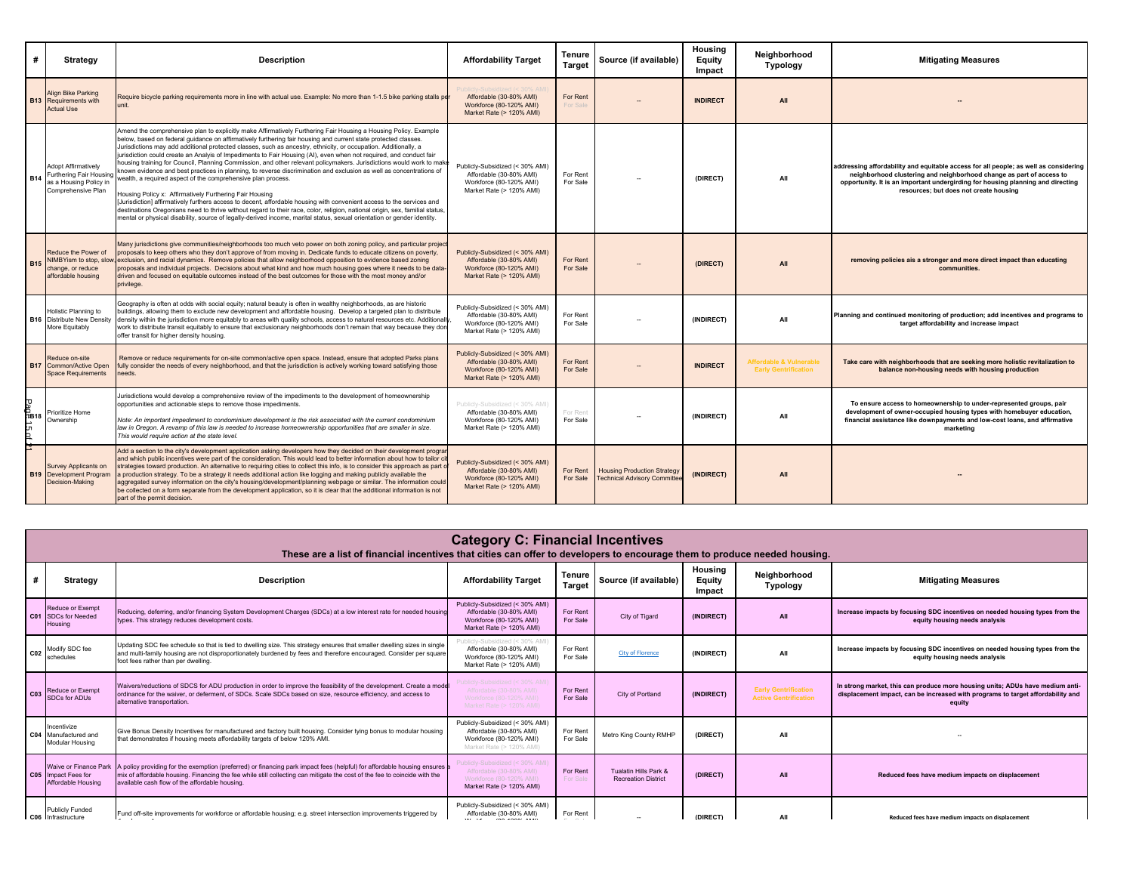| #                | <b>Strategy</b>                                                                               | <b>Description</b>                                                                                                                                                                                                                                                                                                                                                                                                                                                                                                                                                                                                                                                                                                                                                                                                                                                                                                                                                                                                                                                                                                                                                                                                                       | <b>Affordability Target</b>                                                                                       | Tenure<br><b>Target</b> | Source (if available)                                                    | Housing<br>Equity<br>Impact | Neighborhood<br><b>Typology</b>                                   | <b>Mitigating Measures</b>                                                                                                                                                                                                                                                                |
|------------------|-----------------------------------------------------------------------------------------------|------------------------------------------------------------------------------------------------------------------------------------------------------------------------------------------------------------------------------------------------------------------------------------------------------------------------------------------------------------------------------------------------------------------------------------------------------------------------------------------------------------------------------------------------------------------------------------------------------------------------------------------------------------------------------------------------------------------------------------------------------------------------------------------------------------------------------------------------------------------------------------------------------------------------------------------------------------------------------------------------------------------------------------------------------------------------------------------------------------------------------------------------------------------------------------------------------------------------------------------|-------------------------------------------------------------------------------------------------------------------|-------------------------|--------------------------------------------------------------------------|-----------------------------|-------------------------------------------------------------------|-------------------------------------------------------------------------------------------------------------------------------------------------------------------------------------------------------------------------------------------------------------------------------------------|
|                  | <b>Align Bike Parking</b><br><b>B13</b> Requirements with<br><b>Actual Use</b>                | Require bicycle parking requirements more in line with actual use. Example: No more than 1-1.5 bike parking stalls pe<br>unit.                                                                                                                                                                                                                                                                                                                                                                                                                                                                                                                                                                                                                                                                                                                                                                                                                                                                                                                                                                                                                                                                                                           | Affordable (30-80% AMI)<br>Workforce (80-120% AMI)<br>Market Rate (> 120% AMI)                                    | For Rent<br>For Sale    |                                                                          | <b>INDIRECT</b>             | All                                                               |                                                                                                                                                                                                                                                                                           |
| <b>B14</b>       | Adopt Affirmatively<br>Furthering Fair Housin<br>as a Housing Policy in<br>Comprehensive Plan | Amend the comprehensive plan to explicitly make Affirmatively Furthering Fair Housing a Housing Policy. Example<br>below, based on federal guidance on affirmatively furthering fair housing and current state protected classes.<br>Jurisdictions may add additional protected classes, such as ancestry, ethnicity, or occupation. Additionally, a<br>jurisdiction could create an Analyis of Impediments to Fair Housing (AI), even when not required, and conduct fair<br>housing training for Council, Planning Commission, and other relevant policymakers. Jurisdictions would work to make<br>known evidence and best practices in planning, to reverse discrimination and exclusion as well as concentrations of<br>wealth, a required aspect of the comprehensive plan process.<br>Housing Policy x: Affirmatively Furthering Fair Housing<br>[Jurisdiction] affirmatively furthers access to decent, affordable housing with convenient access to the services and<br>destinations Oregonians need to thrive without regard to their race, color, religion, national origin, sex, familial status,<br>mental or physical disability, source of legally-derived income, marital status, sexual orientation or gender identity. | Publicly-Subsidized (< 30% AMI)<br>Affordable (30-80% AMI)<br>Workforce (80-120% AMI)<br>Market Rate (> 120% AMI) | For Rent<br>For Sale    |                                                                          | (DIRECT)                    | All                                                               | addressing affordability and equitable access for all people; as well as considering<br>neighborhood clustering and neighborhood change as part of access to<br>opportunity. It is an important undergirding for housing planning and directing<br>resources; but does not create housing |
| <b>B15</b>       | Reduce the Power of<br>NIMBYism to stop, slov<br>change, or reduce<br>affordable housing      | Many jurisdictions give communities/neighborhoods too much veto power on both zoning policy, and particular project<br>proposals to keep others who they don't approve of from moving in. Dedicate funds to educate citizens on poverty,<br>exclusion, and racial dynamics. Remove policies that allow neighborhood opposition to evidence based zoning<br>proposals and individual projects. Decisions about what kind and how much housing goes where it needs to be data-<br>driven and focused on equitable outcomes instead of the best outcomes for those with the most money and/or<br>privilege.                                                                                                                                                                                                                                                                                                                                                                                                                                                                                                                                                                                                                                 | Publicly-Subsidized (< 30% AMI)<br>Affordable (30-80% AMI)<br>Workforce (80-120% AMI)<br>Market Rate (> 120% AMI) | For Rent<br>For Sale    |                                                                          | (DIRECT)                    | All                                                               | removing policies ais a stronger and more direct impact than educating<br>communities                                                                                                                                                                                                     |
|                  | Holistic Planning to<br><b>B16</b> Distribute New Density<br>More Equitably                   | Geography is often at odds with social equity; natural beauty is often in wealthy neighborhoods, as are historic<br>buildings, allowing them to exclude new development and affordable housing. Develop a targeted plan to distribute<br>density within the jurisdiction more equitably to areas with quality schools, access to natural resources etc. Additionally<br>work to distribute transit equitably to ensure that exclusionary neighborhoods don't remain that way because they don<br>offer transit for higher density housing.                                                                                                                                                                                                                                                                                                                                                                                                                                                                                                                                                                                                                                                                                               | Publicly-Subsidized (< 30% AMI)<br>Affordable (30-80% AMI)<br>Workforce (80-120% AMI)<br>Market Rate (> 120% AMI) | For Rent<br>For Sale    |                                                                          | (INDIRECT)                  | All                                                               | Planning and continued monitoring of production; add incentives and programs to<br>target affordability and increase impact                                                                                                                                                               |
|                  | Reduce on-site<br><b>B17</b> Common/Active Open<br><b>Space Requirements</b>                  | Remove or reduce requirements for on-site common/active open space. Instead, ensure that adopted Parks plans<br>fully consider the needs of every neighborhood, and that the jurisdiction is actively working toward satisfying those<br>eeds.                                                                                                                                                                                                                                                                                                                                                                                                                                                                                                                                                                                                                                                                                                                                                                                                                                                                                                                                                                                           | Publicly-Subsidized (< 30% AMI)<br>Affordable (30-80% AMI)<br>Workforce (80-120% AMI)<br>Market Rate (> 120% AMI) | For Rent<br>For Sale    |                                                                          | <b>INDIRECT</b>             | <b>Affordable &amp; Vulnerable</b><br><b>Early Gentrification</b> | Take care with neighborhoods that are seeking more holistic revitalization to<br>balance non-housing needs with housing production                                                                                                                                                        |
| .<br>බ්වා 8<br>남 | Prioritize Home<br>Ownership                                                                  | Jurisdictions would develop a comprehensive review of the impediments to the development of homeownership<br>opportunities and actionable steps to remove those impediments.<br>Note: An important impediment to condominium development is the risk associated with the current condominium<br>law in Oregon. A revamp of this law is needed to increase homeownership opportunities that are smaller in size.<br>This would require action at the state level.                                                                                                                                                                                                                                                                                                                                                                                                                                                                                                                                                                                                                                                                                                                                                                         | Publicly-Subsidized (< 30% AMI)<br>Affordable (30-80% AMI)<br>Workforce (80-120% AMI)<br>Market Rate (> 120% AMI) | For Rent<br>For Sale    |                                                                          | (INDIRECT)                  | All                                                               | To ensure access to homeownership to under-represented groups, pair<br>development of owner-occupied housing types with homebuyer education,<br>financial assistance like downpayments and low-cost loans, and affirmative<br>marketing                                                   |
|                  | Survey Applicants on<br><b>B19</b> Development Program<br>Decision-Making                     | Add a section to the city's development application asking developers how they decided on their development progra<br>and which public incentives were part of the consideration. This would lead to better information about how to tailor cit<br>trategies toward production. An alternative to requiring cities to collect this info, is to consider this approach as part o<br>production strategy. To be a strategy it needs additional action like logging and making publicly available the<br>aggregated survey information on the city's housing/development/planning webpage or similar. The information could<br>be collected on a form separate from the development application, so it is clear that the additional information is not<br>part of the permit decision.                                                                                                                                                                                                                                                                                                                                                                                                                                                      | Publicly-Subsidized (< 30% AMI)<br>Affordable (30-80% AMI)<br>Workforce (80-120% AMI)<br>Market Rate (> 120% AMI) | For Rent<br>For Sale    | <b>Housing Production Strategy</b><br><b>Technical Advisory Committe</b> | (INDIRECT)                  | All                                                               |                                                                                                                                                                                                                                                                                           |

|                 | <b>Category C: Financial Incentives</b><br>These are a list of financial incentives that cities can offer to developers to encourage them to produce needed housing. |                                                                                                                                                                                                                                                                                                      |                                                                                                                   |                         |                                                     |                             |                                                             |                                                                                                                                                                            |  |  |  |
|-----------------|----------------------------------------------------------------------------------------------------------------------------------------------------------------------|------------------------------------------------------------------------------------------------------------------------------------------------------------------------------------------------------------------------------------------------------------------------------------------------------|-------------------------------------------------------------------------------------------------------------------|-------------------------|-----------------------------------------------------|-----------------------------|-------------------------------------------------------------|----------------------------------------------------------------------------------------------------------------------------------------------------------------------------|--|--|--|
| #               | Strategy                                                                                                                                                             | <b>Description</b>                                                                                                                                                                                                                                                                                   | <b>Affordability Target</b>                                                                                       | Tenure<br><b>Target</b> | Source (if available)                               | Housing<br>Equity<br>Impact | Neighborhood<br><b>Typology</b>                             | <b>Mitigating Measures</b>                                                                                                                                                 |  |  |  |
| CO <sub>1</sub> | Reduce or Exempt<br><b>SDCs for Needed</b><br>Housing                                                                                                                | Reducing, deferring, and/or financing System Development Charges (SDCs) at a low interest rate for needed housing<br>types. This strategy reduces development costs.                                                                                                                                 | Publicly-Subsidized (< 30% AMI)<br>Affordable (30-80% AMI)<br>Workforce (80-120% AMI)<br>Market Rate (> 120% AMI) | For Rent<br>For Sale    | City of Tigard                                      | (INDIRECT)                  | All                                                         | Increase impacts by focusing SDC incentives on needed housing types from the<br>equity housing needs analysis                                                              |  |  |  |
| C <sub>02</sub> | Modify SDC fee<br>schedules                                                                                                                                          | Updating SDC fee schedule so that is tied to dwelling size. This strategy ensures that smaller dwelling sizes in single<br>and multi-family housing are not disproportionately burdened by fees and therefore encouraged. Consider per square<br>foot fees rather than per dwelling.                 | Publicly-Subsidized (< 30% AMI)<br>Affordable (30-80% AMI)<br>Workforce (80-120% AMI)<br>Market Rate (> 120% AMI) | For Rent<br>For Sale    | <b>City of Florence</b>                             | (INDIRECT)                  | All                                                         | Increase impacts by focusing SDC incentives on needed housing types from the<br>equity housing needs analysis                                                              |  |  |  |
| CO <sub>3</sub> | Reduce or Exempt<br><b>SDCs for ADUs</b>                                                                                                                             | Waivers/reductions of SDCS for ADU production in order to improve the feasibility of the development. Create a model<br>ordinance for the waiver, or deferment, of SDCs. Scale SDCs based on size, resource efficiency, and access to<br>alternative transportation.                                 | ublicly-Subsidized (< 30% AMI)<br>Affordable (30-80% AMI)<br>Workforce (80-120% AMI)<br>Market Rate (> 120% AMI)  | For Rent<br>For Sale    | City of Portland                                    | (INDIRECT)                  | <b>Early Gentrification</b><br><b>Active Gentrification</b> | In strong market, this can produce more housing units; ADUs have medium anti-<br>displacement impact, can be increased with programs to target affordability and<br>equity |  |  |  |
| C <sub>04</sub> | Incentivize<br>Manufactured and<br>Modular Housing                                                                                                                   | Give Bonus Density Incentives for manufactured and factory built housing. Consider tying bonus to modular housing<br>that demonstrates if housing meets affordability targets of below 120% AMI.                                                                                                     | Publicly-Subsidized (< 30% AMI)<br>Affordable (30-80% AMI)<br>Workforce (80-120% AMI)<br>Market Rate (> 120% AMI) | For Rent<br>For Sale    | Metro King County RMHP                              | (DIRECT)                    | All                                                         |                                                                                                                                                                            |  |  |  |
| C05             | <b>Waive or Finance Park</b><br>Impact Fees for<br>Affordable Housing                                                                                                | policy providing for the exemption (preferred) or financing park impact fees (helpful) for affordable housing ensures<br>mix of affordable housing. Financing the fee while still collecting can mitigate the cost of the fee to coincide with the<br>available cash flow of the affordable housing. | Publicly-Subsidized (< 30% AMI<br>Affordable (30-80% AMI)<br>Workforce (80-120% AMI)<br>Market Rate (> 120% AMI)  | For Rent<br>For Sale    | Tualatin Hills Park &<br><b>Recreation District</b> | (DIRECT)                    | All                                                         | Reduced fees have medium impacts on displacement                                                                                                                           |  |  |  |
|                 | <b>Publicly Funded</b><br>C06 Infrastructure                                                                                                                         | Fund off-site improvements for workforce or affordable housing; e.g. street intersection improvements triggered by                                                                                                                                                                                   | Publicly-Subsidized (< 30% AMI)<br>Affordable (30-80% AMI)<br><br><b>CAR CARACTERIN</b>                           | For Rent                |                                                     | (DIRECT)                    | All                                                         | Reduced fees have medium impacts on displacement                                                                                                                           |  |  |  |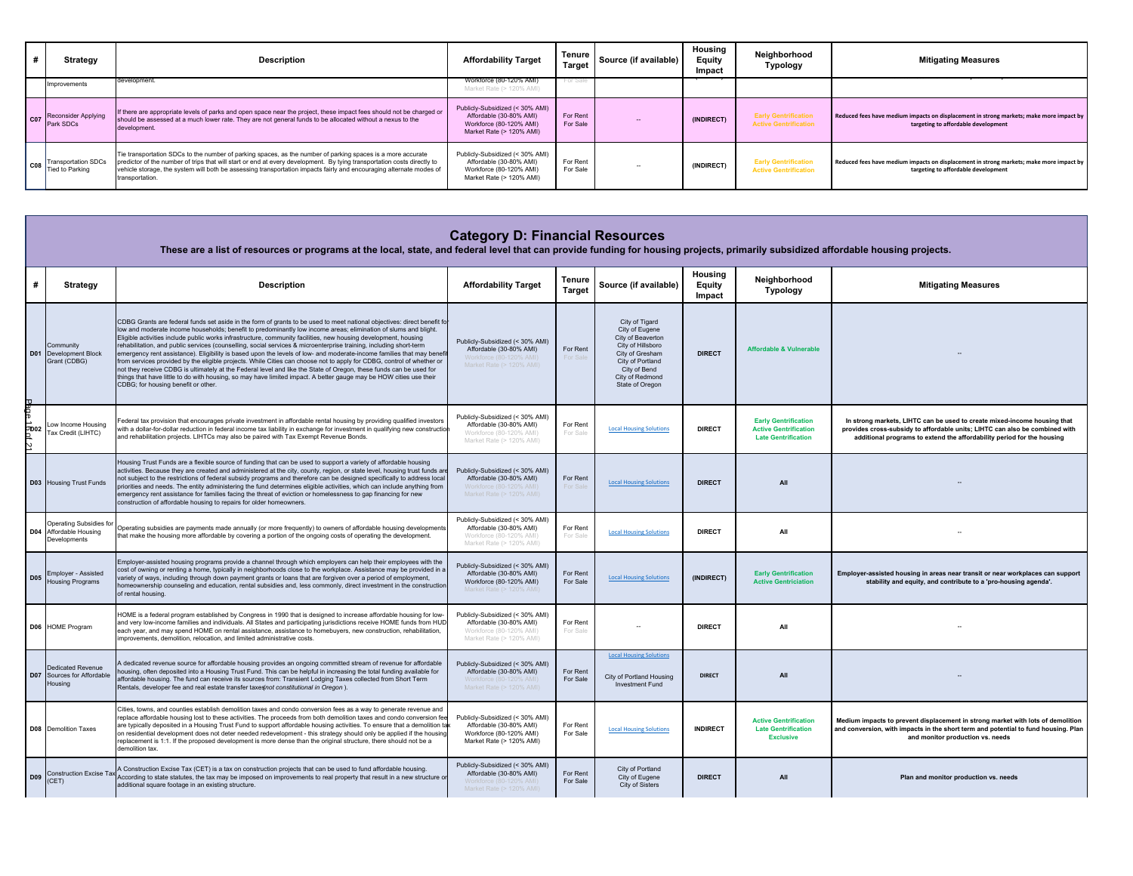| Strategy                                      | Description                                                                                                                                                                                                                                                                                                                                                                      | <b>Affordability Target</b>                                                                                       | <b>Tenure</b><br><b>Target</b> | Source (if available) | Housing<br><b>Equity</b><br>Impact | Neighborhood<br>Typology                                    | <b>Mitigating Measures</b>                                                                                                     |
|-----------------------------------------------|----------------------------------------------------------------------------------------------------------------------------------------------------------------------------------------------------------------------------------------------------------------------------------------------------------------------------------------------------------------------------------|-------------------------------------------------------------------------------------------------------------------|--------------------------------|-----------------------|------------------------------------|-------------------------------------------------------------|--------------------------------------------------------------------------------------------------------------------------------|
| Improvements                                  | development                                                                                                                                                                                                                                                                                                                                                                      | Workforce (80-120% AMI)<br>Market Rate (> 120% AMI)                                                               | For Sale                       |                       |                                    |                                                             |                                                                                                                                |
| <b>Reconsider Applying</b><br>Park SDCs       | If there are appropriate levels of parks and open space near the project, these impact fees should not be charged or<br>should be assessed at a much lower rate. They are not general funds to be allocated without a nexus to the<br>development.                                                                                                                               | Publicly-Subsidized (< 30% AMI)<br>Affordable (30-80% AMI)<br>Workforce (80-120% AMI)<br>Market Rate (> 120% AMI) | For Rent<br>For Sale           |                       | (INDIRECT)                         | <b>Early Gentrification</b><br><b>Active Gentrification</b> | Reduced fees have medium impacts on displacement in strong markets; make more impact by<br>targeting to affordable development |
| <b>Transportation SDCs</b><br>Tied to Parking | Tie transportation SDCs to the number of parking spaces, as the number of parking spaces is a more accurate<br>predictor of the number of trips that will start or end at every development. By tying transportation costs directly to<br>vehicle storage, the system will both be assessing transportation impacts fairly and encouraging alternate modes of<br>transportation. | Publicly-Subsidized (< 30% AMI)<br>Affordable (30-80% AMI)<br>Workforce (80-120% AMI)<br>Market Rate (> 120% AMI) | For Rent<br>For Sale           |                       | (INDIRECT)                         | <b>Early Gentrification</b><br><b>Active Gentrification</b> | Reduced fees have medium impacts on displacement in strong markets; make more impact by<br>targeting to affordable development |

|             | <b>Category D: Financial Resources</b><br>These are a list of resources or programs at the local, state, and federal level that can provide funding for housing projects, primarily subsidized affordable housing projects. |                                                                                                                                                                                                                                                                                                                                                                                                                                                                                                                                                                                                                                                                                                                                                                                                                                                                                                                                                                                                                           |                                                                                                                   |                         |                                                                                                                                                                         |                             |                                                                                           |                                                                                                                                                                                                                                   |  |  |  |
|-------------|-----------------------------------------------------------------------------------------------------------------------------------------------------------------------------------------------------------------------------|---------------------------------------------------------------------------------------------------------------------------------------------------------------------------------------------------------------------------------------------------------------------------------------------------------------------------------------------------------------------------------------------------------------------------------------------------------------------------------------------------------------------------------------------------------------------------------------------------------------------------------------------------------------------------------------------------------------------------------------------------------------------------------------------------------------------------------------------------------------------------------------------------------------------------------------------------------------------------------------------------------------------------|-------------------------------------------------------------------------------------------------------------------|-------------------------|-------------------------------------------------------------------------------------------------------------------------------------------------------------------------|-----------------------------|-------------------------------------------------------------------------------------------|-----------------------------------------------------------------------------------------------------------------------------------------------------------------------------------------------------------------------------------|--|--|--|
| #           | <b>Strategy</b>                                                                                                                                                                                                             | <b>Description</b>                                                                                                                                                                                                                                                                                                                                                                                                                                                                                                                                                                                                                                                                                                                                                                                                                                                                                                                                                                                                        | <b>Affordability Target</b>                                                                                       | Tenure<br><b>Target</b> | Source (if available)                                                                                                                                                   | Housing<br>Equity<br>Impact | Neighborhood<br><b>Typology</b>                                                           | <b>Mitigating Measures</b>                                                                                                                                                                                                        |  |  |  |
| D01<br>Pag  | Community<br>Development Block<br>Grant (CDBG)                                                                                                                                                                              | CDBG Grants are federal funds set aside in the form of grants to be used to meet national objectives; direct benefit for<br>low and moderate income households; benefit to predominantly low income areas; elimination of slums and blight.<br>Eligible activities include public works infrastructure, community facilities, new housing development, housing<br>rehabilitation, and public services (counselling, social services & microenterprise training, including short-term<br>emergency rent assistance). Eligibility is based upon the levels of low- and moderate-income families that may benefit<br>from services provided by the eligible projects. While Cities can choose not to apply for CDBG, control of whether or<br>not they receive CDBG is ultimately at the Federal level and like the State of Oregon, these funds can be used for<br>things that have little to do with housing, so may have limited impact. A better gauge may be HOW cities use their<br>CDBG; for housing benefit or other | Publicly-Subsidized (< 30% AMI)<br>Affordable (30-80% AMI)<br>Vorkforce (80-120% AMI)<br>Market Rate (> 120% AMI) | For Rent                | City of Tigard<br>City of Eugene<br>City of Beaverton<br>City of Hillsboro<br>City of Gresham<br>City of Portland<br>City of Bend<br>City of Redmond<br>State of Oregon | <b>DIRECT</b>               | <b>Affordable &amp; Vulnerable</b>                                                        |                                                                                                                                                                                                                                   |  |  |  |
| <b>OD02</b> | Low Income Housing<br>Tax Credit (LIHTC)                                                                                                                                                                                    | Federal tax provision that encourages private investment in affordable rental housing by providing qualified investors<br>with a dollar-for-dollar reduction in federal income tax liability in exchange for investment in qualifying new construction<br>and rehabilitation projects. LIHTCs may also be paired with Tax Exempt Revenue Bonds.                                                                                                                                                                                                                                                                                                                                                                                                                                                                                                                                                                                                                                                                           | Publicly-Subsidized (< 30% AMI)<br>Affordable (30-80% AMI)<br>Workforce (80-120% AMI)<br>Market Rate (> 120% AMI) | For Rent<br>For Sale    | <b>Local Housing Solutions</b>                                                                                                                                          | <b>DIRECT</b>               | <b>Early Gentrification</b><br><b>Active Gentrification</b><br><b>Late Gentrification</b> | In strong markets, LIHTC can be used to create mixed-income housing that<br>provides cross-subsidy to affordable units; LIHTC can also be combined with<br>additional programs to extend the affordability period for the housing |  |  |  |
|             | <b>D03</b> Housing Trust Funds                                                                                                                                                                                              | Housing Trust Funds are a flexible source of funding that can be used to support a variety of affordable housing<br>activities. Because they are created and administered at the city, county, region, or state level, housing trust funds are<br>not subject to the restrictions of federal subsidy programs and therefore can be designed specifically to address local<br>priorities and needs. The entity administering the fund determines eligible activities, which can include anything from<br>emergency rent assistance for families facing the threat of eviction or homelessness to gap financing for new<br>construction of affordable housing to repairs for older homeowners.                                                                                                                                                                                                                                                                                                                              | Publicly-Subsidized (< 30% AMI)<br>Affordable (30-80% AMI)<br>Workforce (80-120% AMI)<br>Market Rate (> 120% AMI) | For Rent<br>For Sal     | <b>Local Housing Solutions</b>                                                                                                                                          | <b>DIRECT</b>               | All                                                                                       |                                                                                                                                                                                                                                   |  |  |  |
|             | <b>Operating Subsidies fo</b><br>D04 Affordable Housing<br>Developments                                                                                                                                                     | Operating subsidies are payments made annually (or more frequently) to owners of affordable housing developments<br>that make the housing more affordable by covering a portion of the ongoing costs of operating the development.                                                                                                                                                                                                                                                                                                                                                                                                                                                                                                                                                                                                                                                                                                                                                                                        | Publicly-Subsidized (< 30% AMI)<br>Affordable (30-80% AMI)<br>Workforce (80-120% AMI)<br>Market Rate (> 120% AMI) | For Rent<br>For Sale    | <b>Local Housing Solutions</b>                                                                                                                                          | <b>DIRECT</b>               | All                                                                                       |                                                                                                                                                                                                                                   |  |  |  |
| <b>D05</b>  | <b>Employer - Assisted</b><br><b>Housing Programs</b>                                                                                                                                                                       | Employer-assisted housing programs provide a channel through which employers can help their employees with the<br>cost of owning or renting a home, typically in neighborhoods close to the workplace. Assistance may be provided in a<br>variety of ways, including through down payment grants or loans that are forgiven over a period of employment,<br>homeownership counseling and education, rental subsidies and, less commonly, direct investment in the construction<br>of rental housing.                                                                                                                                                                                                                                                                                                                                                                                                                                                                                                                      | Publicly-Subsidized (< 30% AMI)<br>Affordable (30-80% AMI)<br>Workforce (80-120% AMI)<br>Market Rate (> 120% AMI) | For Rent<br>For Sale    | <b>Local Housing Solutions</b>                                                                                                                                          | (INDIRECT)                  | <b>Early Gentrification</b><br><b>Active Gentriciation</b>                                | Employer-assisted housing in areas near transit or near workplaces can support<br>stability and equity, and contribute to a 'pro-housing agenda'.                                                                                 |  |  |  |
|             | D06 HOME Program                                                                                                                                                                                                            | HOME is a federal program established by Congress in 1990 that is designed to increase affordable housing for low-<br>and very low-income families and individuals. All States and participating jurisdictions receive HOME funds from HUD<br>each year, and may spend HOME on rental assistance, assistance to homebuyers, new construction, rehabilitation,<br>improvements, demolition, relocation, and limited administrative costs.                                                                                                                                                                                                                                                                                                                                                                                                                                                                                                                                                                                  | Publicly-Subsidized (< 30% AMI)<br>Affordable (30-80% AMI)<br>Workforce (80-120% AMI)<br>Market Rate (> 120% AMI) | For Rent<br>For Sale    |                                                                                                                                                                         | <b>DIRECT</b>               | All                                                                                       |                                                                                                                                                                                                                                   |  |  |  |
|             | <b>Dedicated Revenue</b><br><b>D07</b> Sources for Affordable<br>Housing                                                                                                                                                    | A dedicated revenue source for affordable housing provides an ongoing committed stream of revenue for affordable<br>housing, often deposited into a Housing Trust Fund. This can be helpful in increasing the total funding available for<br>affordable housing. The fund can receive its sources from: Transient Lodging Taxes collected from Short Term<br>Rentals, developer fee and real estate transfer taxes not constitutional in Oregon).                                                                                                                                                                                                                                                                                                                                                                                                                                                                                                                                                                         | Publicly-Subsidized (< 30% AMI)<br>Affordable (30-80% AMI)<br>Vorkforce (80-120% AMI)<br>Market Rate (> 120% AMI) | For Rent<br>For Sale    | <b>Local Housing Solutions</b><br>City of Portland Housing<br>Investment Fund                                                                                           | <b>DIRECT</b>               | All                                                                                       |                                                                                                                                                                                                                                   |  |  |  |
|             | <b>D08</b> Demolition Taxes                                                                                                                                                                                                 | Cities, towns, and counties establish demolition taxes and condo conversion fees as a way to generate revenue and<br>replace affordable housing lost to these activities. The proceeds from both demolition taxes and condo conversion fee<br>are typically deposited in a Housing Trust Fund to support affordable housing activities. To ensure that a demolition ta<br>on residential development does not deter needed redevelopment - this strategy should only be applied if the housing<br>replacement is 1:1. If the proposed development is more dense than the original structure, there should not be a<br>demolition tax.                                                                                                                                                                                                                                                                                                                                                                                     | Publicly-Subsidized (< 30% AMI)<br>Affordable (30-80% AMI)<br>Workforce (80-120% AMI)<br>Market Rate (> 120% AMI) | For Rent<br>For Sale    | <b>Local Housing Solutions</b>                                                                                                                                          | <b>INDIRECT</b>             | <b>Active Gentrification</b><br><b>Late Gentrification</b><br><b>Exclusive</b>            | Medium impacts to prevent displacement in strong market with lots of demolition<br>and conversion, with impacts in the short term and potential to fund housing. Plan<br>and monitor production vs. needs                         |  |  |  |
| <b>D09</b>  | <b>Construction Excise Ta</b><br>(CET)                                                                                                                                                                                      | A Construction Excise Tax (CET) is a tax on construction projects that can be used to fund affordable housing.<br>According to state statutes, the tax may be imposed on improvements to real property that result in a new structure o<br>additional square footage in an existing structure.                                                                                                                                                                                                                                                                                                                                                                                                                                                                                                                                                                                                                                                                                                                            | Publicly-Subsidized (< 30% AMI)<br>Affordable (30-80% AMI)<br>Workforce (80-120% AMI)<br>Market Rate (> 120% AMI) | For Rent<br>For Sale    | City of Portland<br>City of Eugene<br>City of Sisters                                                                                                                   | <b>DIRECT</b>               | All                                                                                       | Plan and monitor production vs. needs                                                                                                                                                                                             |  |  |  |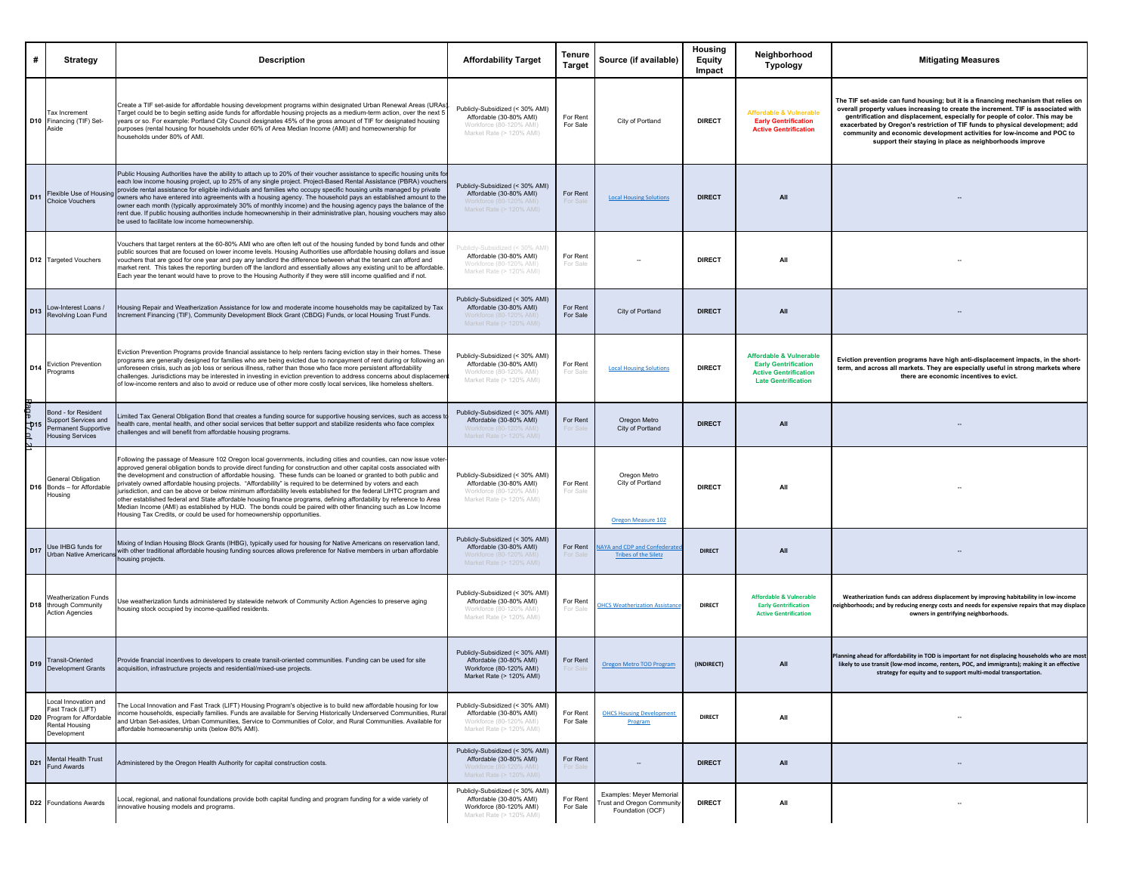| #                                     | <b>Strategy</b>                                                                                        | <b>Description</b>                                                                                                                                                                                                                                                                                                                                                                                                                                                                                                                                                                                                                                                                                                                                                                                                                                                                                                  | <b>Affordability Target</b>                                                                                       | Tenure<br><b>Target</b> | Source (if available)                                                    | Housing<br><b>Equity</b><br>Impact | Neighborhood<br>Typology                                                                                                        | <b>Mitigating Measures</b>                                                                                                                                                                                                                                                                                                                                                                                                                                                      |
|---------------------------------------|--------------------------------------------------------------------------------------------------------|---------------------------------------------------------------------------------------------------------------------------------------------------------------------------------------------------------------------------------------------------------------------------------------------------------------------------------------------------------------------------------------------------------------------------------------------------------------------------------------------------------------------------------------------------------------------------------------------------------------------------------------------------------------------------------------------------------------------------------------------------------------------------------------------------------------------------------------------------------------------------------------------------------------------|-------------------------------------------------------------------------------------------------------------------|-------------------------|--------------------------------------------------------------------------|------------------------------------|---------------------------------------------------------------------------------------------------------------------------------|---------------------------------------------------------------------------------------------------------------------------------------------------------------------------------------------------------------------------------------------------------------------------------------------------------------------------------------------------------------------------------------------------------------------------------------------------------------------------------|
|                                       | <b>Tax Increment</b><br>D10 Financing (TIF) Set-<br>Aside                                              | Create a TIF set-aside for affordable housing development programs within designated Urban Renewal Areas (URA<br>arget could be to begin setting aside funds for affordable housing projects as a medium-term action, over the next t<br>years or so. For example: Portland City Council designates 45% of the gross amount of TIF for designated housing<br>purposes (rental housing for households under 60% of Area Median Income (AMI) and homeownership for<br>households under 80% of AMI.                                                                                                                                                                                                                                                                                                                                                                                                                    | Publicly-Subsidized (< 30% AMI)<br>Affordable (30-80% AMI)<br>Workforce (80-120% AMI)<br>Market Rate (> 120% AMI) | For Rent<br>For Sale    | City of Portland                                                         | <b>DIRECT</b>                      | <b>Affordable &amp; Vulnerable</b><br><b>Early Gentrification</b><br><b>Active Gentrification</b>                               | The TIF set-aside can fund housing; but it is a financing mechanism that relies on<br>overall property values increasing to create the increment. TIF is associated with<br>gentrification and displacement, especially for people of color. This may be<br>exacerbated by Oregon's restriction of TIF funds to physical development; add<br>community and economic development activities for low-income and POC to<br>support their staying in place as neighborhoods improve |
| D <sub>11</sub>                       | Flexible Use of Housing<br><b>Choice Vouchers</b>                                                      | Public Housing Authorities have the ability to attach up to 20% of their voucher assistance to specific housing units fo<br>each low income housing project, up to 25% of any single project. Project-Based Rental Assistance (PBRA) vouchers<br>provide rental assistance for eligible individuals and families who occupy specific housing units managed by private<br>owners who have entered into agreements with a housing agency. The household pays an established amount to the<br>owner each month (typically approximately 30% of monthly income) and the housing agency pays the balance of the<br>rent due. If public housing authorities include homeownership in their administrative plan, housing vouchers may also<br>be used to facilitate low income homeownership.                                                                                                                              | Publicly-Subsidized (< 30% AMI)<br>Affordable (30-80% AMI)<br>Vorkforce (80-120% AMI<br>Market Rate (> 120% AMI)  | For Rent                | <b>Local Housing Solutions</b>                                           | <b>DIRECT</b>                      | All                                                                                                                             |                                                                                                                                                                                                                                                                                                                                                                                                                                                                                 |
|                                       | D12 Targeted Vouchers                                                                                  | Vouchers that target renters at the 60-80% AMI who are often left out of the housing funded by bond funds and other<br>public sources that are focused on lower income levels. Housing Authorities use affordable housing dollars and issue<br>vouchers that are good for one year and pay any landlord the difference between what the tenant can afford and<br>market rent. This takes the reporting burden off the landlord and essentially allows any existing unit to be affordable.<br>Each year the tenant would have to prove to the Housing Authority if they were still income qualified and if not.                                                                                                                                                                                                                                                                                                      | ublicly-Subsidized (< 30% AMI)<br>Affordable (30-80% AMI)<br>Workforce (80-120% AMI)<br>Market Rate (> 120% AMI)  | For Rent<br>For Sale    |                                                                          | <b>DIRECT</b>                      | All                                                                                                                             |                                                                                                                                                                                                                                                                                                                                                                                                                                                                                 |
|                                       | D13 Low-Interest Loans /<br>Revolving Loan Fund                                                        | Housing Repair and Weatherization Assistance for low and moderate income households may be capitalized by Tax<br>ncrement Financing (TIF), Community Development Block Grant (CBDG) Funds, or local Housing Trust Funds.                                                                                                                                                                                                                                                                                                                                                                                                                                                                                                                                                                                                                                                                                            | Publicly-Subsidized (< 30% AMI)<br>Affordable (30-80% AMI)<br>Workforce (80-120% AM<br>Market Rate (> 120% AMI)   | For Rent<br>For Sale    | City of Portland                                                         | <b>DIRECT</b>                      | All                                                                                                                             |                                                                                                                                                                                                                                                                                                                                                                                                                                                                                 |
| D14                                   | <b>Eviction Prevention</b><br>Programs                                                                 | Eviction Prevention Programs provide financial assistance to help renters facing eviction stay in their homes. These<br>programs are generally designed for families who are being evicted due to nonpayment of rent during or following an<br>unforeseen crisis, such as job loss or serious illness, rather than those who face more persistent affordability<br>challenges. Jurisdictions may be interested in investing in eviction prevention to address concerns about displacemer<br>of low-income renters and also to avoid or reduce use of other more costly local services, like homeless shelters.                                                                                                                                                                                                                                                                                                      | Publicly-Subsidized (< 30% AMI)<br>Affordable (30-80% AMI)<br>Workforce (80-120% AMI)<br>Market Rate (> 120% AMI) | For Rent<br>For Sale    | <b>Local Housing Solutions</b>                                           | <b>DIRECT</b>                      | <b>Affordable &amp; Vulnerable</b><br><b>Early Gentrification</b><br><b>Active Gentrification</b><br><b>Late Gentrification</b> | Eviction prevention programs have high anti-displacement impacts, in the short-<br>term, and across all markets. They are especially useful in strong markets where<br>there are economic incentives to evict.                                                                                                                                                                                                                                                                  |
| $\frac{4}{9}$ age $\frac{4}{9}$ of 21 | Bond - for Resident<br>Support Services and<br>Permanent Supportive<br><b>Housing Services</b>         | imited Tax General Obligation Bond that creates a funding source for supportive housing services, such as access t<br>health care, mental health, and other social services that better support and stabilize residents who face complex<br>challenges and will benefit from affordable housing programs.                                                                                                                                                                                                                                                                                                                                                                                                                                                                                                                                                                                                           | Publicly-Subsidized (< 30% AMI)<br>Affordable (30-80% AMI)<br>Workforce (80-120% AMI)<br>Market Rate (> 120% AMI) | For Rent<br>For Sale    | Oregon Metro<br>City of Portland                                         | <b>DIRECT</b>                      | All                                                                                                                             |                                                                                                                                                                                                                                                                                                                                                                                                                                                                                 |
|                                       | <b>General Obligation</b><br>D16 Bonds - for Affordable<br>Housing                                     | Following the passage of Measure 102 Oregon local governments, including cities and counties, can now issue voter<br>approved general obligation bonds to provide direct funding for construction and other capital costs associated with<br>the development and construction of affordable housing. These funds can be loaned or granted to both public and<br>privately owned affordable housing projects. "Affordability" is required to be determined by voters and each<br>urisdiction, and can be above or below minimum affordability levels established for the federal LIHTC program and<br>other established federal and State affordable housing finance programs, defining affordability by reference to Area<br>Median Income (AMI) as established by HUD. The bonds could be paired with other financing such as Low Income<br>Housing Tax Credits, or could be used for homeownership opportunities. | Publicly-Subsidized (< 30% AMI)<br>Affordable (30-80% AMI)<br>Workforce (80-120% AMI)<br>Market Rate (> 120% AMI) | For Rent<br>For Sale    | Oregon Metro<br>City of Portland<br>Oregon Measure 102                   | <b>DIRECT</b>                      | All                                                                                                                             |                                                                                                                                                                                                                                                                                                                                                                                                                                                                                 |
| D <sub>17</sub>                       | Use IHBG funds for<br><b>Urban Native America</b>                                                      | Mixing of Indian Housing Block Grants (IHBG), typically used for housing for Native Americans on reservation land,<br>with other traditional affordable housing funding sources allows preference for Native members in urban affordable<br>housing projects.                                                                                                                                                                                                                                                                                                                                                                                                                                                                                                                                                                                                                                                       | Publicly-Subsidized (< 30% AMI)<br>Affordable (30-80% AMI)<br>Norkforce (80-120% AN<br>Market Rate (> 120% AMI)   | For Rent                | <b>AYA and CDP and Confederate</b><br><b>Tribes of the Siletz</b>        | <b>DIRECT</b>                      | All                                                                                                                             |                                                                                                                                                                                                                                                                                                                                                                                                                                                                                 |
|                                       | <b>Weatherization Funds</b><br>D18 through Community<br><b>Action Agencies</b>                         | Use weatherization funds administered by statewide network of Community Action Agencies to preserve aging<br>housing stock occupied by income-qualified residents.                                                                                                                                                                                                                                                                                                                                                                                                                                                                                                                                                                                                                                                                                                                                                  | Publicly-Subsidized (< 30% AMI)<br>Affordable (30-80% AMI)<br>Workforce (80-120% AMI)<br>Market Rate (> 120% AMI) | For Rent<br>For Sale    | <b>HCS Weatherization Assistance</b>                                     | <b>DIRECT</b>                      | <b>Affordable &amp; Vulnerable</b><br><b>Early Gentrification</b><br><b>Active Gentrification</b>                               | Weatherization funds can address displacement by improving habitability in low-income<br>neighborhoods; and by reducing energy costs and needs for expensive repairs that may displace<br>owners in gentrifying neighborhoods.                                                                                                                                                                                                                                                  |
| D <sub>19</sub>                       | <b>Transit-Oriented</b><br>Development Grants                                                          | Provide financial incentives to developers to create transit-oriented communities. Funding can be used for site<br>acquisition, infrastructure projects and residential/mixed-use projects.                                                                                                                                                                                                                                                                                                                                                                                                                                                                                                                                                                                                                                                                                                                         | Publicly-Subsidized (< 30% AMI)<br>Affordable (30-80% AMI)<br>Workforce (80-120% AMI)<br>Market Rate (> 120% AMI) | For Rent<br>For Sal     | <b>Oregon Metro TOD Program</b>                                          | (INDIRECT)                         | All                                                                                                                             | Planning ahead for affordability in TOD is important for not displacing households who are most<br>likely to use transit (low-mod income, renters, POC, and immigrants); making it an effective<br>strategy for equity and to support multi-modal transportation.                                                                                                                                                                                                               |
|                                       | ocal Innovation and<br>ast Track (LIFT)<br>D20 Program for Affordable<br>Rental Housing<br>Development | The Local Innovation and Fast Track (LIFT) Housing Program's objective is to build new affordable housing for low<br>income households, especially families. Funds are available for Serving Historically Underserved Communities, Rura<br>and Urban Set-asides, Urban Communities, Service to Communities of Color, and Rural Communities. Available for<br>affordable homeownership units (below 80% AMI).                                                                                                                                                                                                                                                                                                                                                                                                                                                                                                        | Publicly-Subsidized (< 30% AMI)<br>Affordable (30-80% AMI)<br>Workforce (80-120% AMI)<br>Market Rate (> 120% AMI) | For Rent<br>For Sale    | <b>OHCS Housing Development</b><br>Program                               | <b>DIRECT</b>                      | All                                                                                                                             |                                                                                                                                                                                                                                                                                                                                                                                                                                                                                 |
|                                       | <b>Mental Health Trust</b><br>D21 Fund Awards                                                          | Administered by the Oregon Health Authority for capital construction costs.                                                                                                                                                                                                                                                                                                                                                                                                                                                                                                                                                                                                                                                                                                                                                                                                                                         | Publicly-Subsidized (< 30% AMI)<br>Affordable (30-80% AMI)<br>Market Rate (> 120% AMI)                            | For Rent                |                                                                          | <b>DIRECT</b>                      | All                                                                                                                             |                                                                                                                                                                                                                                                                                                                                                                                                                                                                                 |
|                                       | <b>D22</b> Foundations Awards                                                                          | ocal, regional, and national foundations provide both capital funding and program funding for a wide variety of<br>innovative housing models and programs.                                                                                                                                                                                                                                                                                                                                                                                                                                                                                                                                                                                                                                                                                                                                                          | Publicly-Subsidized (< 30% AMI)<br>Affordable (30-80% AMI)<br>Workforce (80-120% AMI)<br>Market Rate (> 120% AMI) | For Rent<br>For Sale    | Examples: Meyer Memoria<br>rust and Oregon Community<br>Foundation (OCF) | <b>DIRECT</b>                      | All                                                                                                                             |                                                                                                                                                                                                                                                                                                                                                                                                                                                                                 |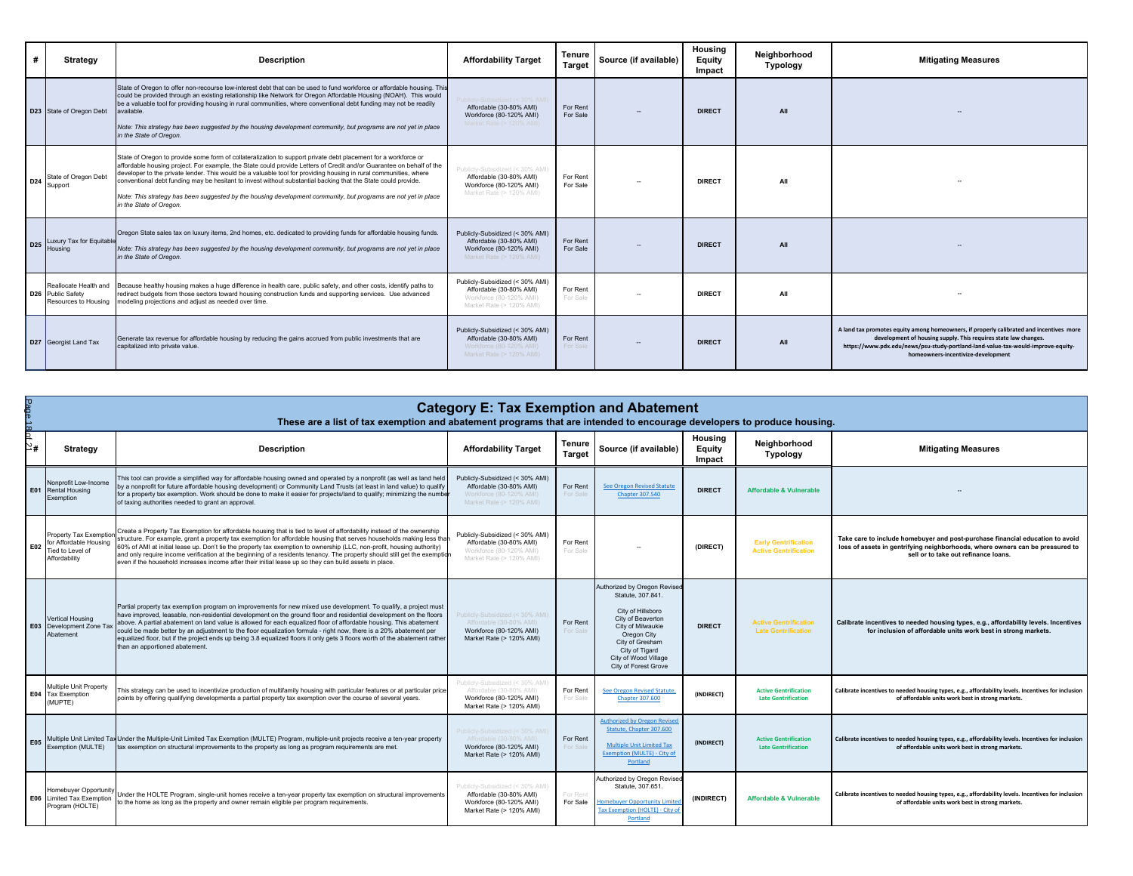| #               | Strategy                                                                       | <b>Description</b>                                                                                                                                                                                                                                                                                                                                                                                                                                                                                                                                                                                                       | <b>Affordability Target</b>                                                                                       | Tenure<br><b>Target</b> | Source (if available) | Housing<br>Equity<br>Impact | Neighborhood<br>Typology | <b>Mitigating Measures</b>                                                                                                                                                                                                                                                           |
|-----------------|--------------------------------------------------------------------------------|--------------------------------------------------------------------------------------------------------------------------------------------------------------------------------------------------------------------------------------------------------------------------------------------------------------------------------------------------------------------------------------------------------------------------------------------------------------------------------------------------------------------------------------------------------------------------------------------------------------------------|-------------------------------------------------------------------------------------------------------------------|-------------------------|-----------------------|-----------------------------|--------------------------|--------------------------------------------------------------------------------------------------------------------------------------------------------------------------------------------------------------------------------------------------------------------------------------|
|                 | D23 State of Oregon Debt                                                       | State of Oregon to offer non-recourse low-interest debt that can be used to fund workforce or affordable housing. This<br>could be provided through an existing relationship like Network for Oregon Affordable Housing (NOAH). This would<br>be a valuable tool for providing housing in rural communities, where conventional debt funding may not be readily<br>available.<br>Note: This strategy has been suggested by the housing development community, but programs are not yet in place<br>in the State of Oregon.                                                                                               | olicly-Subsidized (< 30% AMI)<br>Affordable (30-80% AMI)<br>Workforce (80-120% AMI)<br>Market Rate (> 120% AMI)   | For Rent<br>For Sale    |                       | <b>DIRECT</b>               | All                      |                                                                                                                                                                                                                                                                                      |
| D <sub>24</sub> | State of Oregon Debt<br>Support                                                | State of Oregon to provide some form of collateralization to support private debt placement for a workforce or<br>affordable housing project. For example, the State could provide Letters of Credit and/or Guarantee on behalf of the<br>developer to the private lender. This would be a valuable tool for providing housing in rural communities, where<br>conventional debt funding may be hesitant to invest without substantial backing that the State could provide.<br>Note: This strategy has been suggested by the housing development community, but programs are not yet in place<br>in the State of Oregon. | Publicly-Subsidized (< 30% AMI)<br>Affordable (30-80% AMI)<br>Workforce (80-120% AMI)<br>Market Rate (> 120% AMI) | For Rent<br>For Sale    |                       | <b>DIRECT</b>               | All                      |                                                                                                                                                                                                                                                                                      |
| D <sub>25</sub> | Luxury Tax for Equitable<br>Housing                                            | Oregon State sales tax on luxury items, 2nd homes, etc. dedicated to providing funds for affordable housing funds.<br>Note: This strategy has been suggested by the housing development community, but programs are not yet in place<br>in the State of Oregon.                                                                                                                                                                                                                                                                                                                                                          | Publicly-Subsidized (< 30% AMI)<br>Affordable (30-80% AMI)<br>Workforce (80-120% AMI)<br>Market Rate (> 120% AMI) | For Rent<br>For Sale    |                       | <b>DIRECT</b>               | All                      |                                                                                                                                                                                                                                                                                      |
|                 | Reallocate Health and<br>D <sub>26</sub> Public Safety<br>Resources to Housing | Because healthy housing makes a huge difference in health care, public safety, and other costs, identify paths to<br>redirect budgets from those sectors toward housing construction funds and supporting services. Use advanced<br>modeling projections and adjust as needed over time.                                                                                                                                                                                                                                                                                                                                 | Publicly-Subsidized (< 30% AMI)<br>Affordable (30-80% AMI)<br>Workforce (80-120% AMI)<br>Market Rate (> 120% AMI) | For Rent<br>For Sale    |                       | <b>DIRECT</b>               | All                      |                                                                                                                                                                                                                                                                                      |
|                 | D27 Georgist Land Tax                                                          | Generate tax revenue for affordable housing by reducing the gains accrued from public investments that are<br>capitalized into private value.                                                                                                                                                                                                                                                                                                                                                                                                                                                                            | Publicly-Subsidized (< 30% AMI)<br>Affordable (30-80% AMI)<br>Workforce (80-120% AMI)<br>Market Rate (> 120% AMI) | For Rent<br>For Sale    |                       | <b>DIRECT</b>               | All                      | A land tax promotes equity among homeowners, if properly calibrated and incentives more<br>development of housing supply. This requires state law changes.<br>https://www.pdx.edu/news/psu-study-portland-land-value-tax-would-improve-equity-<br>homeowners-incentivize-development |

| ape.<br>늖                               | <b>Category E: Tax Exemption and Abatement</b><br>These are a list of tax exemption and abatement programs that are intended to encourage developers to produce housing. |                                                                                                                                                                                                                                                                                                                                                                                                                                                                                                                                                                                                                                                   |                                                                                                                   |                      |                                                                                                                                                                                                                      |                             |                                                             |                                                                                                                                                                                                        |  |  |
|-----------------------------------------|--------------------------------------------------------------------------------------------------------------------------------------------------------------------------|---------------------------------------------------------------------------------------------------------------------------------------------------------------------------------------------------------------------------------------------------------------------------------------------------------------------------------------------------------------------------------------------------------------------------------------------------------------------------------------------------------------------------------------------------------------------------------------------------------------------------------------------------|-------------------------------------------------------------------------------------------------------------------|----------------------|----------------------------------------------------------------------------------------------------------------------------------------------------------------------------------------------------------------------|-----------------------------|-------------------------------------------------------------|--------------------------------------------------------------------------------------------------------------------------------------------------------------------------------------------------------|--|--|
| b<br>$\stackrel{>}{\scriptstyle\sim}$ # | <b>Strategy</b>                                                                                                                                                          | <b>Description</b>                                                                                                                                                                                                                                                                                                                                                                                                                                                                                                                                                                                                                                | <b>Affordability Target</b>                                                                                       | Tenure<br>Target     | Source (if available)                                                                                                                                                                                                | Housing<br>Equity<br>Impact | Neighborhood<br><b>Typology</b>                             | <b>Mitigating Measures</b>                                                                                                                                                                             |  |  |
|                                         | Nonprofit Low-Income<br>E01 Rental Housing<br>Exemption                                                                                                                  | This tool can provide a simplified way for affordable housing owned and operated by a nonprofit (as well as land held<br>by a nonprofit for future affordable housing development) or Community Land Trusts (at least in land value) to qualify<br>for a property tax exemption. Work should be done to make it easier for projects/land to qualify; minimizing the numbe<br>of taxing authorities needed to grant an approval.                                                                                                                                                                                                                   | Publicly-Subsidized (< 30% AMI)<br>Affordable (30-80% AMI)<br>Workforce (80-120% AMI)<br>Market Rate (> 120% AMI) | For Rent<br>For Sale | <b>See Oregon Revised Statute</b><br><b>Chapter 307.540</b>                                                                                                                                                          | <b>DIRECT</b>               | <b>Affordable &amp; Vulnerable</b>                          |                                                                                                                                                                                                        |  |  |
| E02                                     | Property Tax Exemptic<br>for Affordable Housing<br>ied to Level of<br>Affordability                                                                                      | Create a Property Tax Exemption for affordable housing that is tied to level of affordability instead of the ownership<br>structure. For example, grant a property tax exemption for affordable housing that serves households making less tha<br>60% of AMI at initial lease up. Don't tie the property tax exemption to ownership (LLC, non-profit, housing authority)<br>and only require income verification at the beginning of a residents tenancy. The property should still get the exemption<br>even if the household increases income after their initial lease up so they can build assets in place.                                   | Publicly-Subsidized (< 30% AMI)<br>Affordable (30-80% AMI)<br>Workforce (80-120% AMI)<br>Market Rate (> 120% AMI) | For Rent<br>For Sale |                                                                                                                                                                                                                      | (DIRECT)                    | <b>Early Gentrification</b><br><b>Active Gentrification</b> | Take care to include homebuyer and post-purchase financial education to avoid<br>loss of assets in gentrifying neighborhoods, where owners can be pressured to<br>sell or to take out refinance loans. |  |  |
|                                         | Vertical Housing<br><b>E03</b> Development Zone Tax<br>Abatement                                                                                                         | Partial property tax exemption program on improvements for new mixed use development. To qualify, a project must<br>have improved, leasable, non-residential development on the ground floor and residential development on the floors<br>above. A partial abatement on land value is allowed for each equalized floor of affordable housing. This abatement<br>could be made better by an adjustment to the floor equalization formula - right now, there is a 20% abatement per<br>equalized floor, but if the project ends up being 3.8 equalized floors it only gets 3 floors worth of the abatement rather<br>than an apportioned abatement. | Publicly-Subsidized (< 30% AMI)<br>Affordable (30-80% AMI)<br>Workforce (80-120% AMI)<br>Market Rate (> 120% AMI) | For Rent<br>For Sale | Authorized by Oregon Revised<br>Statute, 307.841.<br>City of Hillsboro<br>City of Beaverton<br>City of Milwaukie<br>Oregon City<br>City of Gresham<br>City of Tigard<br>City of Wood Village<br>City of Forest Grove | <b>DIRECT</b>               | <b>Active Gentrification</b><br><b>Late Gentrification</b>  | Calibrate incentives to needed housing types, e.g., affordability levels. Incentives<br>for inclusion of affordable units work best in strong markets.                                                 |  |  |
|                                         | Multiple Unit Property<br><b>E04</b> Tax Exemption<br>(MUPTE)                                                                                                            | This strategy can be used to incentivize production of multifamily housing with particular features or at particular price<br>points by offering qualifying developments a partial property tax exemption over the course of several years.                                                                                                                                                                                                                                                                                                                                                                                                       | Publicly-Subsidized (< 30% AMI)<br>Affordable (30-80% AMI)<br>Workforce (80-120% AMI)<br>Market Rate (> 120% AMI) | For Rent<br>For Sale | <b>See Oregon Revised Statute</b><br><b>Chapter 307.600</b>                                                                                                                                                          | (INDIRECT)                  | <b>Active Gentrification</b><br><b>Late Gentrification</b>  | Calibrate incentives to needed housing types, e.g., affordability levels. Incentives for inclusion<br>of affordable units work best in strong markets.                                                 |  |  |
| E05                                     | Exemption (MULTE)                                                                                                                                                        | Multiple Unit Limited Tax Under the Multiple-Unit Limited Tax Exemption (MULTE) Program, multiple-unit projects receive a ten-year property<br>tax exemption on structural improvements to the property as long as program requirements are met                                                                                                                                                                                                                                                                                                                                                                                                   | Publicly-Subsidized (< 30% AMI)<br>Affordable (30-80% AMI)<br>Workforce (80-120% AMI)<br>Market Rate (> 120% AMI) | For Rent<br>For Sale | <b>Authorized by Oregon Revised</b><br>Statute, Chapter 307,600<br><b>Multiple Unit Limited Tax</b><br>Exemption (MULTE) - City of<br>Portland                                                                       | (INDIRECT)                  | <b>Active Gentrification</b><br><b>Late Gentrification</b>  | Calibrate incentives to needed housing types, e.g., affordability levels. Incentives for inclusion<br>of affordable units work best in strong markets.                                                 |  |  |
|                                         | Homebuyer Opportunit<br>E06 Limited Tax Exemption<br>Program (HOLTE)                                                                                                     | Under the HOLTE Program, single-unit homes receive a ten-year property tax exemption on structural improvements<br>to the home as long as the property and owner remain eligible per program requirements.                                                                                                                                                                                                                                                                                                                                                                                                                                        | Publicly-Subsidized (< 30% AMI)<br>Affordable (30-80% AMI)<br>Workforce (80-120% AMI)<br>Market Rate (> 120% AMI) | For Rent<br>For Sale | Authorized by Oregon Revised<br>Statute, 307, 651<br>omebuyer Opportunity Limite<br>Tax Exemption (HOLTE) - City o<br>Portland                                                                                       | (INDIRECT)                  | <b>Affordable &amp; Vulnerable</b>                          | Calibrate incentives to needed housing types, e.g., affordability levels. Incentives for inclusion<br>of affordable units work best in strong markets.                                                 |  |  |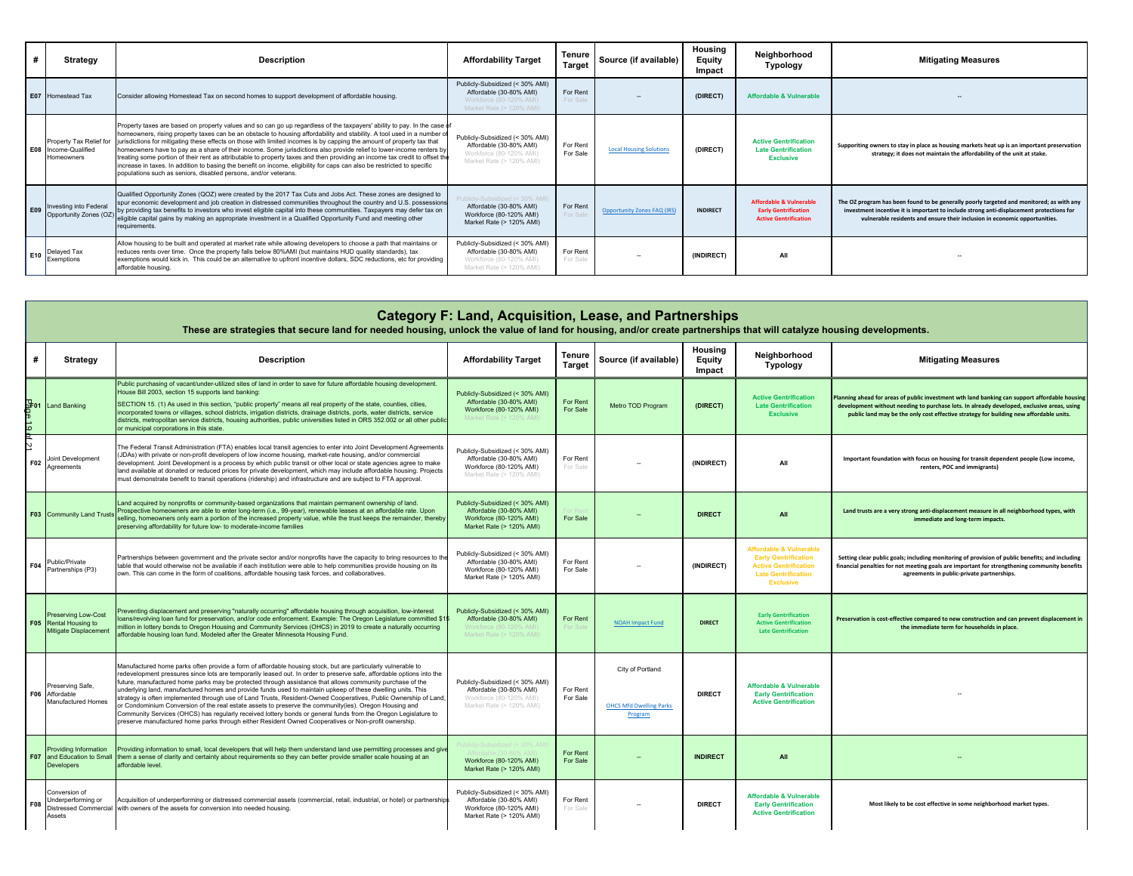|                 | Strategy                                                             | <b>Description</b>                                                                                                                                                                                                                                                                                                                                                                                                                                                                                                                                                                                                                                                                                                                                                                                                                 | <b>Affordability Target</b>                                                                                       | <b>Tenure</b><br><b>Target</b> | Source (if available)              | Housing<br>Equity<br>Impact | Neighborhood<br>Typology                                                                          | <b>Mitigating Measures</b>                                                                                                                                                                                                                                         |
|-----------------|----------------------------------------------------------------------|------------------------------------------------------------------------------------------------------------------------------------------------------------------------------------------------------------------------------------------------------------------------------------------------------------------------------------------------------------------------------------------------------------------------------------------------------------------------------------------------------------------------------------------------------------------------------------------------------------------------------------------------------------------------------------------------------------------------------------------------------------------------------------------------------------------------------------|-------------------------------------------------------------------------------------------------------------------|--------------------------------|------------------------------------|-----------------------------|---------------------------------------------------------------------------------------------------|--------------------------------------------------------------------------------------------------------------------------------------------------------------------------------------------------------------------------------------------------------------------|
|                 | <b>E07</b> Homestead Tax                                             | Consider allowing Homestead Tax on second homes to support development of affordable housing.                                                                                                                                                                                                                                                                                                                                                                                                                                                                                                                                                                                                                                                                                                                                      | Publicly-Subsidized (< 30% AMI)<br>Affordable (30-80% AMI)<br>Workforce (80-120% AMI)<br>Market Rate (> 120% AMI) | For Rent<br>For Sale           |                                    | (DIRECT)                    | <b>Affordable &amp; Vulnerable</b>                                                                |                                                                                                                                                                                                                                                                    |
|                 | Property Tax Relief for<br>E08 Income-Qualified<br><b>Homeowners</b> | Property taxes are based on property values and so can go up regardless of the taxpayers' ability to pay. In the case of<br>homeowners, rising property taxes can be an obstacle to housing affordability and stability. A tool used in a number of<br>jurisdictions for mitigating these effects on those with limited incomes is by capping the amount of property tax that<br>homeowners have to pay as a share of their income. Some jurisdictions also provide relief to lower-income renters by<br>treating some portion of their rent as attributable to property taxes and then providing an income tax credit to offset the<br>increase in taxes. In addition to basing the benefit on income, eligibility for caps can also be restricted to specific<br>populations such as seniors, disabled persons, and/or veterans. | Publicly-Subsidized (< 30% AMI)<br>Affordable (30-80% AMI)<br>Workforce (80-120% AMI)<br>Market Rate (> 120% AMI) | For Rent<br>For Sale           | <b>Local Housing Solutions</b>     | (DIRECT)                    | <b>Active Gentrification</b><br><b>Late Gentrification</b><br><b>Exclusive</b>                    | Supporiting owners to stay in place as housing markets heat up is an important preservation<br>strategy: it does not maintain the affordability of the unit at stake.                                                                                              |
| F <sub>09</sub> | <b>Investing into Federal</b><br>Opportunity Zones (OZ               | Qualified Opportunity Zones (QOZ) were created by the 2017 Tax Cuts and Jobs Act. These zones are designed to<br>spur economic development and job creation in distressed communities throughout the country and U.S. possessions<br>by providing tax benefits to investors who invest eligible capital into these communities. Taxpayers may defer tax on<br>eligible capital gains by making an appropriate investment in a Qualified Opportunity Fund and meeting other<br>requirements.                                                                                                                                                                                                                                                                                                                                        | blicly-Subsidized (< 30% AMI)<br>Affordable (30-80% AMI)<br>Workforce (80-120% AMI)<br>Market Rate (> 120% AMI)   | For Rent<br>For Sale           | <b>Opportunity Zones FAQ (IRS)</b> | <b>INDIRECT</b>             | <b>Affordable &amp; Vulnerable</b><br><b>Early Gentrification</b><br><b>Active Gentrification</b> | The OZ program has been found to be generally poorly targeted and monitored; as with any<br>investment incentive it is important to include strong anti-displacement protections for<br>vulnerable residents and ensure their inclusion in economic opportunities. |
| E10             | Delayed Tax<br>Exemptions                                            | Allow housing to be built and operated at market rate while allowing developers to choose a path that maintains or<br>reduces rents over time. Once the property falls below 80%AMI (but maintains HUD quality standards), tax<br>exemptions would kick in. This could be an alternative to upfront incentive dollars, SDC reductions, etc for providing<br>affordable housing.                                                                                                                                                                                                                                                                                                                                                                                                                                                    | Publicly-Subsidized (< 30% AMI)<br>Affordable (30-80% AMI)<br>Workforce (80-120% AMI)<br>Market Rate (> 120% AMI) | For Rent<br>For Sale           |                                    | (INDIRECT)                  | All                                                                                               | $\sim$                                                                                                                                                                                                                                                             |

|                | <b>Category F: Land, Acquisition, Lease, and Partnerships</b><br>These are strategies that secure land for needed housing, unlock the value of land for housing, and/or create partnerships that will catalyze housing developments. |                                                                                                                                                                                                                                                                                                                                                                                                                                                                                                                                                                                                                                                                                                                                                                                                                                                                                                                           |                                                                                                                   |                         |                                                               |                             |                                                                                                                                                     |                                                                                                                                                                                                                                                                                       |  |  |
|----------------|--------------------------------------------------------------------------------------------------------------------------------------------------------------------------------------------------------------------------------------|---------------------------------------------------------------------------------------------------------------------------------------------------------------------------------------------------------------------------------------------------------------------------------------------------------------------------------------------------------------------------------------------------------------------------------------------------------------------------------------------------------------------------------------------------------------------------------------------------------------------------------------------------------------------------------------------------------------------------------------------------------------------------------------------------------------------------------------------------------------------------------------------------------------------------|-------------------------------------------------------------------------------------------------------------------|-------------------------|---------------------------------------------------------------|-----------------------------|-----------------------------------------------------------------------------------------------------------------------------------------------------|---------------------------------------------------------------------------------------------------------------------------------------------------------------------------------------------------------------------------------------------------------------------------------------|--|--|
| #              | Strategy                                                                                                                                                                                                                             | <b>Description</b>                                                                                                                                                                                                                                                                                                                                                                                                                                                                                                                                                                                                                                                                                                                                                                                                                                                                                                        | <b>Affordability Target</b>                                                                                       | Tenure<br><b>Target</b> | Source (if available)                                         | Housing<br>Equity<br>Impact | Neighborhood<br><b>Typology</b>                                                                                                                     | <b>Mitigating Measures</b>                                                                                                                                                                                                                                                            |  |  |
| $2^{+01}$<br>ಕ | <b>Land Banking</b>                                                                                                                                                                                                                  | Public purchasing of vacant/under-utilized sites of land in order to save for future affordable housing development.<br>House Bill 2003, section 15 supports land banking:<br>SECTION 15. (1) As used in this section, "public property" means all real property of the state, counties, cities,<br>incorporated towns or villages, school districts, irrigation districts, drainage districts, ports, water districts, service<br>districts, metropolitan service districts, housing authorities, public universities listed in ORS 352.002 or all other public<br>or municipal corporations in this state.                                                                                                                                                                                                                                                                                                              | Publicly-Subsidized (< 30% AMI)<br>Affordable (30-80% AMI)<br>Workforce (80-120% AMI)<br>Jarket Rate (> 120% AN   | For Rent<br>For Sale    | Metro TOD Program                                             | (DIRECT)                    | <b>Active Gentrification</b><br><b>Late Gentrification</b><br><b>Exclusive</b>                                                                      | Planning ahead for areas of public investment wth land banking can support affordable housing<br>development without needing to purchase lots. In already developed, exclusive areas, using<br>public land may be the only cost effective strategy for building new affordable units. |  |  |
| ∾<br>F02       | Joint Development<br>Agreements                                                                                                                                                                                                      | The Federal Transit Administration (FTA) enables local transit agencies to enter into Joint Development Agreements<br>(JDAs) with private or non-profit developers of low income housing, market-rate housing, and/or commercial<br>development. Joint Development is a process by which public transit or other local or state agencies agree to make<br>land available at donated or reduced prices for private development, which may include affordable housing. Projects<br>must demonstrate benefit to transit operations (ridership) and infrastructure and are subject to FTA approval.                                                                                                                                                                                                                                                                                                                           | Publicly-Subsidized (< 30% AMI)<br>Affordable (30-80% AMI)<br>Workforce (80-120% AMI)<br>Market Rate (> 120% AMI) | For Rent<br>For Sale    |                                                               | (INDIRECT)                  | All                                                                                                                                                 | Important foundation with focus on housing for transit dependent people (Low income,<br>renters, POC and immigrants)                                                                                                                                                                  |  |  |
|                | F03 Community Land Trust                                                                                                                                                                                                             | Land acquired by nonprofits or community-based organizations that maintain permanent ownership of land.<br>Prospective homeowners are able to enter long-term (i.e., 99-year), renewable leases at an affordable rate. Upon<br>elling, homeowners only earn a portion of the increased property value, while the trust keeps the remainder, thereby<br>preserving affordability for future low- to moderate-income families                                                                                                                                                                                                                                                                                                                                                                                                                                                                                               | Publicly-Subsidized (< 30% AMI)<br>Affordable (30-80% AMI)<br>Workforce (80-120% AMI)<br>Market Rate (> 120% AMI) | For Sale                |                                                               | <b>DIRECT</b>               | All                                                                                                                                                 | Land trusts are a very strong anti-displacement measure in all neighborhood types, with<br>immediate and long-term impacts.                                                                                                                                                           |  |  |
| F04            | Public/Private<br>Partnerships (P3)                                                                                                                                                                                                  | Partnerships between government and the private sector and/or nonprofits have the capacity to bring resources to the<br>table that would otherwise not be available if each institution were able to help communities provide housing on its<br>own. This can come in the form of coalitions, affordable housing task forces, and collaboratives.                                                                                                                                                                                                                                                                                                                                                                                                                                                                                                                                                                         | Publicly-Subsidized (< 30% AMI)<br>Affordable (30-80% AMI)<br>Workforce (80-120% AMI)<br>Market Rate (> 120% AMI) | For Rent<br>For Sale    |                                                               | (INDIRECT)                  | <b>Affordable &amp; Vulnerable</b><br><b>Early Gentrification</b><br><b>Active Gentrification</b><br><b>Late Gentrification</b><br><b>Exclusive</b> | Setting clear public goals; including monitoring of provision of public benefits; and including<br>financial penalties for not meeting goals are important for strengthening community benefits<br>agreements in public-private partnerships.                                         |  |  |
|                | Preserving Low-Cost<br>F05 Rental Housing to<br>Mitigate Displacement                                                                                                                                                                | Preventing displacement and preserving "naturally occurring" affordable housing through acquisition, low-interest<br>oans/revolving loan fund for preservation, and/or code enforcement. Example: The Oregon Legislature committed \$15<br>million in lottery bonds to Oregon Housing and Community Services (OHCS) in 2019 to create a naturally occurring<br>affordable housing loan fund. Modeled after the Greater Minnesota Housing Fund.                                                                                                                                                                                                                                                                                                                                                                                                                                                                            | Publicly-Subsidized (< 30% AMI)<br>Affordable (30-80% AMI)<br>Market Rate (> 120% AMI)                            | For Rent                | <b>NOAH Impact Fund</b>                                       | <b>DIRECT</b>               | <b>Early Gentrification</b><br><b>Active Gentrification</b><br><b>Late Gentrification</b>                                                           | Preservation is cost-effective compared to new construction and can prevent displacement in<br>the immediate term for households in place.                                                                                                                                            |  |  |
| F06            | Preserving Safe.<br>Affordable<br><b>Manufactured Homes</b>                                                                                                                                                                          | Manufactured home parks often provide a form of affordable housing stock, but are particularly vulnerable to<br>redevelopment pressures since lots are temporarily leased out. In order to preserve safe, affordable options into the<br>future, manufactured home parks may be protected through assistance that allows community purchase of the<br>underlying land, manufactured homes and provide funds used to maintain upkeep of these dwelling units. This<br>strategy is often implemented through use of Land Trusts, Resident-Owned Cooperatives, Public Ownership of Land,<br>or Condominium Conversion of the real estate assets to preserve the community(ies). Oregon Housing and<br>Community Services (OHCS) has regularly received lottery bonds or general funds from the Oregon Legislature to<br>preserve manufactured home parks through either Resident Owned Cooperatives or Non-profit ownership. | Publicly-Subsidized (< 30% AMI)<br>Affordable (30-80% AMI)<br>Workforce (80-120% AMI)<br>Market Rate (> 120% AMI) | For Rent<br>For Sale    | City of Portland<br><b>OHCS Mfd Dwelling Parks</b><br>Program | <b>DIRECT</b>               | <b>Affordable &amp; Vulnerable</b><br><b>Early Gentrification</b><br><b>Active Gentrification</b>                                                   |                                                                                                                                                                                                                                                                                       |  |  |
| <b>F07</b>     | Providing Information<br>and Education to Small<br>Developers                                                                                                                                                                        | Providing information to small, local developers that will help them understand land use permitting processes and give<br>them a sense of clarity and certainty about requirements so they can better provide smaller scale housing at an<br>affordable level.                                                                                                                                                                                                                                                                                                                                                                                                                                                                                                                                                                                                                                                            | Workforce (80-120% AMI)<br>Market Rate (> 120% AMI)                                                               | For Rent<br>For Sale    |                                                               | <b>INDIRECT</b>             | All                                                                                                                                                 |                                                                                                                                                                                                                                                                                       |  |  |
| F08            | Conversion of<br>Underperforming or<br>Distressed Commercial<br>Assets                                                                                                                                                               | Acquisition of underperforming or distressed commercial assets (commercial, retail, industrial, or hotel) or partnerships<br>with owners of the assets for conversion into needed housing.                                                                                                                                                                                                                                                                                                                                                                                                                                                                                                                                                                                                                                                                                                                                | Publicly-Subsidized (< 30% AMI)<br>Affordable (30-80% AMI)<br>Workforce (80-120% AMI)<br>Market Rate (> 120% AMI) | For Rent<br>For Sale    |                                                               | <b>DIRECT</b>               | <b>Affordable &amp; Vulnerable</b><br><b>Early Gentrification</b><br><b>Active Gentrification</b>                                                   | Most likely to be cost effective in some neighborhood market types.                                                                                                                                                                                                                   |  |  |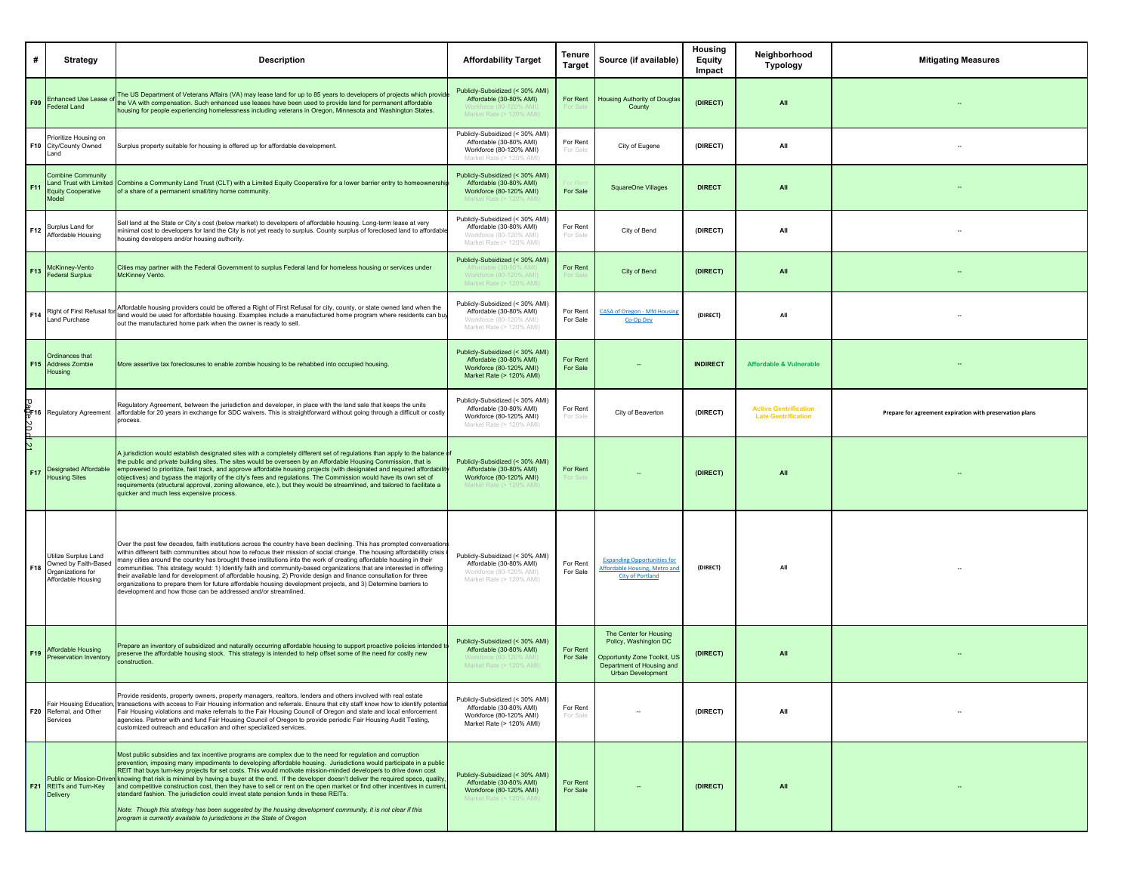| #          | <b>Strategy</b>                                                                          | <b>Description</b>                                                                                                                                                                                                                                                                                                                                                                                                                                                                                                                                                                                                                                                                                                                                                                                                                                                                            | <b>Affordability Target</b>                                                                                       | Tenure<br><b>Target</b> | Source (if available)                                                                                                                    | Housing<br>Equity<br>Impact | Neighborhood<br>Typology                                   | <b>Mitigating Measures</b>                               |
|------------|------------------------------------------------------------------------------------------|-----------------------------------------------------------------------------------------------------------------------------------------------------------------------------------------------------------------------------------------------------------------------------------------------------------------------------------------------------------------------------------------------------------------------------------------------------------------------------------------------------------------------------------------------------------------------------------------------------------------------------------------------------------------------------------------------------------------------------------------------------------------------------------------------------------------------------------------------------------------------------------------------|-------------------------------------------------------------------------------------------------------------------|-------------------------|------------------------------------------------------------------------------------------------------------------------------------------|-----------------------------|------------------------------------------------------------|----------------------------------------------------------|
| F09        | <b>Enhanced Use Lease o</b><br>ederal Land                                               | The US Department of Veterans Affairs (VA) may lease land for up to 85 years to developers of projects which provide<br>he VA with compensation. Such enhanced use leases have been used to provide land for permanent affordable<br>lousing for people experiencing homelessness including veterans in Oregon, Minnesota and Washington States.                                                                                                                                                                                                                                                                                                                                                                                                                                                                                                                                              | Publicly-Subsidized (< 30% AMI)<br>Affordable (30-80% AMI)<br>Market Rate (> 120% AMI                             | For Rent                | <b>Housing Authority of Douglas</b><br>County                                                                                            | (DIRECT)                    | All                                                        |                                                          |
|            | Prioritize Housing on<br>F10 City/County Owned<br>Land                                   | Surplus property suitable for housing is offered up for affordable development.                                                                                                                                                                                                                                                                                                                                                                                                                                                                                                                                                                                                                                                                                                                                                                                                               | Publicly-Subsidized (< 30% AMI)<br>Affordable (30-80% AMI)<br>Workforce (80-120% AMI)<br>Market Rate (> 120% AMI  | For Rent<br>For Sale    | City of Eugene                                                                                                                           | (DIRECT)                    | All                                                        |                                                          |
| F11        | <b>Combine Community</b><br>and Trust with Limited<br><b>Equity Cooperative</b><br>Model | Combine a Community Land Trust (CLT) with a Limited Equity Cooperative for a lower barrier entry to homeownershi<br>of a share of a permanent small/tiny home community.                                                                                                                                                                                                                                                                                                                                                                                                                                                                                                                                                                                                                                                                                                                      | Publicly-Subsidized (< 30% AMI)<br>Affordable (30-80% AMI)<br>Workforce (80-120% AMI)                             | For Sale                | <b>SquareOne Villages</b>                                                                                                                | <b>DIRECT</b>               | All                                                        |                                                          |
| F12        | Surplus Land for<br>Affordable Housing                                                   | Sell land at the State or City's cost (below market) to developers of affordable housing. Long-term lease at very<br>ninimal cost to developers for land the City is not yet ready to surplus. County surplus of foreclosed land to affordable<br>nousing developers and/or housing authority.                                                                                                                                                                                                                                                                                                                                                                                                                                                                                                                                                                                                | Publicly-Subsidized (< 30% AMI)<br>Affordable (30-80% AMI)<br>Workforce (80-120% AMI)<br>Market Rate (> 120% AMI) | For Rent<br>For Sale    | City of Bend                                                                                                                             | (DIRECT)                    | All                                                        |                                                          |
| F13        | McKinney-Vento<br>ederal Surplus                                                         | Cities may partner with the Federal Government to surplus Federal land for homeless housing or services under<br>McKinney Vento.                                                                                                                                                                                                                                                                                                                                                                                                                                                                                                                                                                                                                                                                                                                                                              | Publicly-Subsidized (< 30% AMI)<br>Market Rate (>                                                                 | For Rent                | City of Bend                                                                                                                             | (DIRECT)                    | All                                                        |                                                          |
| F14        | Right of First Refusal fo<br>Land Purchase                                               | Affordable housing providers could be offered a Right of First Refusal for city, county, or state owned land when the<br>land would be used for affordable housing. Examples include a manufactured home program where residents can buy<br>out the manufactured home park when the owner is ready to sell.                                                                                                                                                                                                                                                                                                                                                                                                                                                                                                                                                                                   | Publicly-Subsidized (< 30% AMI)<br>Affordable (30-80% AMI)<br>Workforce (80-120% AMI)<br>Market Rate (> 120% AMI) | For Rent<br>For Sale    | <b>CASA of Oregon - Mfd Housing</b><br>Co-Op Dev                                                                                         | (DIRECT)                    | All                                                        |                                                          |
|            | Ordinances that<br>F15 Address Zombie<br>Housing                                         | More assertive tax foreclosures to enable zombie housing to be rehabbed into occupied housing.                                                                                                                                                                                                                                                                                                                                                                                                                                                                                                                                                                                                                                                                                                                                                                                                | Publicly-Subsidized (< 30% AMI)<br>Affordable (30-80% AMI)<br>Workforce (80-120% AMI)<br>Market Rate (> 120% AMI) | For Rent<br>For Sale    |                                                                                                                                          | <b>INDIRECT</b>             | <b>Affordable &amp; Vulnerable</b>                         |                                                          |
|            | p<br>@F16<br>Regulatory Agreement<br>D                                                   | Regulatory Agreement, between the jurisdiction and developer, in place with the land sale that keeps the units<br>affordable for 20 years in exchange for SDC waivers. This is straightforward without going through a difficult or costly<br>process                                                                                                                                                                                                                                                                                                                                                                                                                                                                                                                                                                                                                                         | Publicly-Subsidized (< 30% AMI)<br>Affordable (30-80% AMI)<br>Workforce (80-120% AMI)<br>Market Rate (> 120% AMI) | For Rent<br>For Sale    | City of Beaverton                                                                                                                        | (DIRECT)                    | <b>Active Gentrification</b><br><b>Late Gentrification</b> | Prepare for agreement expiration with preservation plans |
| d21<br>F17 | <b>Designated Affordable</b><br>lousing Sites                                            | A jurisdiction would establish designated sites with a completely different set of regulations than apply to the balance (<br>he public and private building sites. The sites would be overseen by an Affordable Housing Commission, that is<br>empowered to prioritize, fast track, and approve affordable housing projects (with designated and required affordabili<br>bbjectives) and bypass the majority of the city's fees and regulations. The Commission would have its own set of<br>requirements (structural approval, zoning allowance, etc.), but they would be streamlined, and tailored to facilitate a<br>quicker and much less expensive process.                                                                                                                                                                                                                             | Publicly-Subsidized (< 30% AMI)<br>Affordable (30-80% AMI)<br>Workforce (80-120% AMI)                             | For Rent                |                                                                                                                                          | (DIRECT)                    | All                                                        |                                                          |
| F18        | Jtilize Surplus Land<br>Owned by Faith-Based<br>Organizations for<br>Affordable Housing  | Over the past few decades, faith institutions across the country have been declining. This has prompted conversation:<br>vithin different faith communities about how to refocus their mission of social change. The housing affordability crisis<br>nany cities around the country has brought these institutions into the work of creating affordable housing in their<br>communities. This strategy would: 1) Identify faith and community-based organizations that are interested in offering<br>heir available land for development of affordable housing, 2) Provide design and finance consultation for three<br>organizations to prepare them for future affordable housing development projects, and 3) Determine barriers to<br>development and how those can be addressed and/or streamlined.                                                                                      | Publicly-Subsidized (< 30% AMI)<br>Affordable (30-80% AMI)<br>Workforce (80-120% AMI)<br>Market Rate (> 120% AMI) | For Rent<br>For Sale    | <b>Expanding Opportunities for</b><br>Affordable Housing, Metro and<br><b>City of Portland</b>                                           | (DIRECT)                    | All                                                        |                                                          |
| F19        | Affordable Housing<br>Preservation Inventory                                             | Prepare an inventory of subsidized and naturally occurring affordable housing to support proactive policies intended to<br>preserve the affordable housing stock. This strategy is intended to help offset some of the need for costly new<br>onstruction                                                                                                                                                                                                                                                                                                                                                                                                                                                                                                                                                                                                                                     | Publicly-Subsidized (< 30% AMI)<br>Affordable (30-80% AMI)<br>Market Rate (> 120% AM                              | For Rent<br>For Sale    | The Center for Housing<br>Policy, Washington DC<br>Opportunity Zone Toolkit, US<br>Department of Housing and<br><b>Urban Development</b> | (DIRECT)                    | All                                                        |                                                          |
|            | Fair Housing Education,<br>F20 Referral, and Other<br>Services                           | Provide residents, property owners, property managers, realtors, lenders and others involved with real estate<br>transactions with access to Fair Housing information and referrals. Ensure that city staff know how to identify potentia<br>Fair Housing violations and make referrals to the Fair Housing Council of Oregon and state and local enforcement<br>agencies. Partner with and fund Fair Housing Council of Oregon to provide periodic Fair Housing Audit Testing,<br>customized outreach and education and other specialized services.                                                                                                                                                                                                                                                                                                                                          | Publicly-Subsidized (< 30% AMI)<br>Affordable (30-80% AMI)<br>Workforce (80-120% AMI)<br>Market Rate (> 120% AMI) | For Rent<br>For Sale    |                                                                                                                                          | (DIRECT)                    | All                                                        |                                                          |
| F21        | <b>Public or Mission-Driven</b><br>REITs and Turn-Key<br><b>Delivery</b>                 | Most public subsidies and tax incentive programs are complex due to the need for regulation and corruption<br>prevention, imposing many impediments to developing affordable housing. Jurisdictions would participate in a public<br>REIT that buys turn-key projects for set costs. This would motivate mission-minded developers to drive down cost<br>knowing that risk is minimal by having a buyer at the end. If the developer doesn't deliver the required specs, quality,<br>and competitive construction cost, then they have to sell or rent on the open market or find other incentives in current<br>standard fashion. The jurisdiction could invest state pension funds in these REITs.<br>Note: Though this strategy has been suggested by the housing development community, it is not clear if this<br>program is currently available to jurisdictions in the State of Oregon | Publicly-Subsidized (< 30% AMI)<br>Affordable (30-80% AMI)<br>Workforce (80-120% AMI)<br>arket Rate (> 120% A     | For Rent<br>For Sale    |                                                                                                                                          | (DIRECT)                    | All                                                        |                                                          |